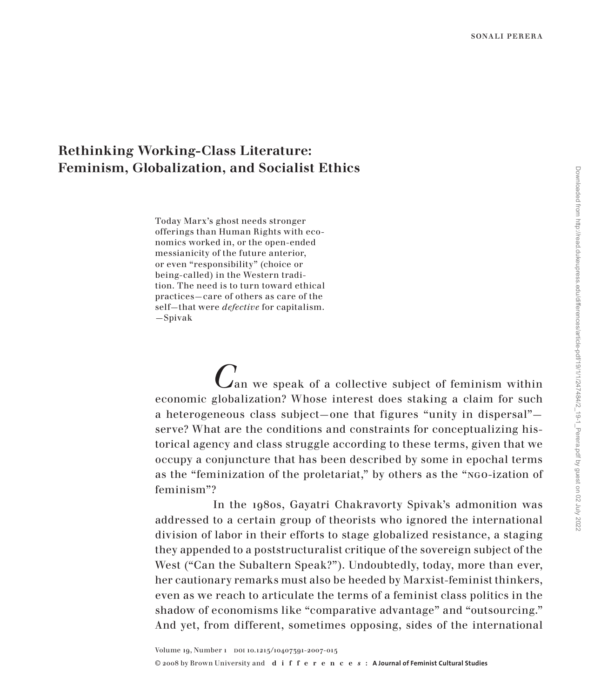# **Rethinking Working-Class Literature: Feminism, Globalization, and Socialist Ethics**

Today Marx's ghost needs stronger offerings than Human Rights with economics worked in, or the open-ended messianicity of the future anterior, or even "responsibility" (choice or being-called) in the Western tradition. The need is to turn toward ethical practices—care of others as care of the self—that were *defective* for capitalism. —Spivak

**C**an we speak of a collective subject of feminism within economic globalization? Whose interest does staking a claim for such a heterogeneous class subject—one that figures "unity in dispersal" serve? What are the conditions and constraints for conceptualizing historical agency and class struggle according to these terms, given that we occupy a conjuncture that has been described by some in epochal terms as the "feminization of the proletariat," by others as the "ngo-ization of feminism"?

In the 1980s, Gayatri Chakravorty Spivak's admonition was addressed to a certain group of theorists who ignored the international division of labor in their efforts to stage globalized resistance, a staging they appended to a poststructuralist critique of the sovereign subject of the West ("Can the Subaltern Speak?"). Undoubtedly, today, more than ever, her cautionary remarks must also be heeded by Marxist-feminist thinkers, even as we reach to articulate the terms of a feminist class politics in the shadow of economisms like "comparative advantage" and "outsourcing." And yet, from different, sometimes opposing, sides of the international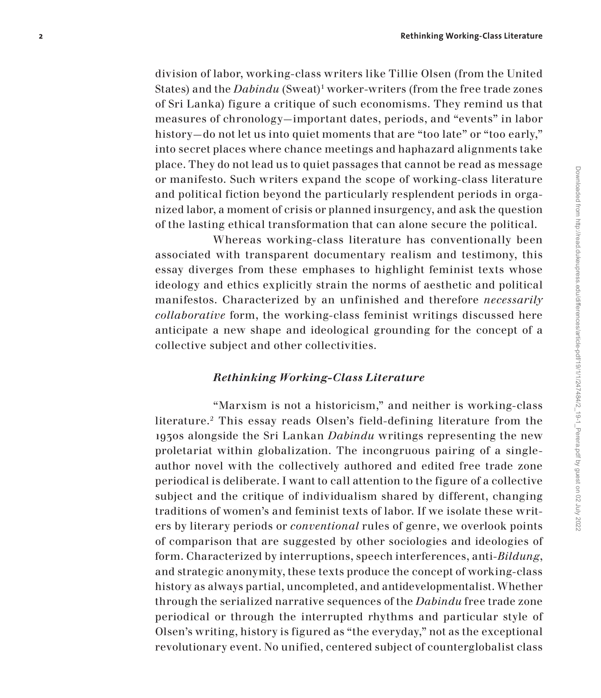division of labor, working-class writers like Tillie Olsen (from the United States) and the *Dabindu* (Sweat)<sup>1</sup> worker-writers (from the free trade zones of Sri Lanka) figure a critique of such economisms. They remind us that measures of chronology—important dates, periods, and "events" in labor history—do not let us into quiet moments that are "too late" or "too early," into secret places where chance meetings and haphazard alignments take place. They do not lead us to quiet passages that cannot be read as message or manifesto. Such writers expand the scope of working-class literature and political fiction beyond the particularly resplendent periods in orga nized labor, a moment of crisis or planned insurgency, and ask the question of the lasting ethical transformation that can alone secure the political.

Whereas working-class literature has conventionally been associated with transparent documentary realism and testimony, this essay diverges from these emphases to highlight feminist texts whose ideology and ethics explicitly strain the norms of aesthetic and political manifestos. Characterized by an unfinished and therefore *necessarily collaborative* form, the working-class feminist writings discussed here anticipate a new shape and ideological grounding for the concept of a collective subject and other collectivities.

#### *Rethinking Working-Class Literature*

"Marxism is not a historicism," and neither is working-class literature. 2 This essay reads Olsen's field-defining literature from the 1930s alongside the Sri Lankan *Dabindu* writings representing the new proletariat within globalization. The incongruous pairing of a singleauthor novel with the collectively authored and edited free trade zone periodical is deliberate. I want to call attention to the figure of a collective subject and the critique of individualism shared by different, changing traditions of women's and feminist texts of labor. If we isolate these writ ers by literary periods or *conventional* rules of genre, we overlook points of comparison that are suggested by other sociologies and ideologies of form. Characterized by interruptions, speech interferences, anti-*Bildung*, and strategic anonymity, these texts produce the concept of working-class history as always partial, uncompleted, and antidevelopmentalist. Whether through the serialized narrative sequences of the *Dabindu* free trade zone periodical or through the interrupted rhythms and particular style of Olsen's writing, history is figured as "the everyday," not as the exceptional revolutionary event. No unified, centered subject of counterglobalist class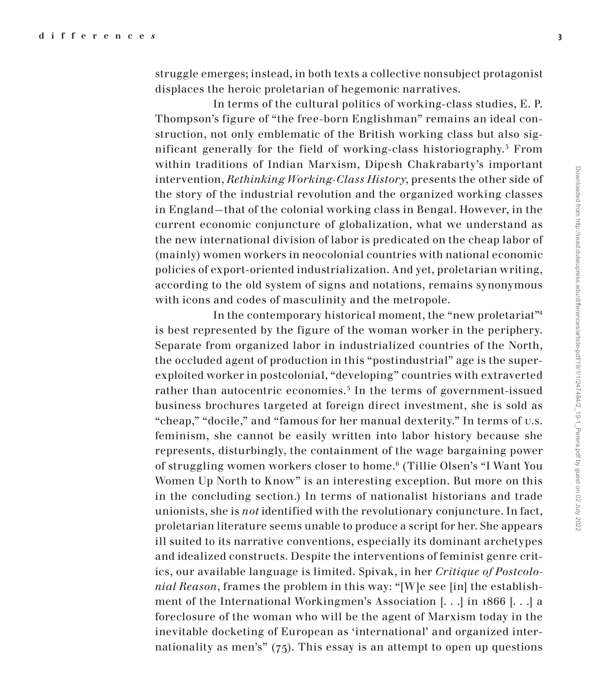struggle emerges; instead, in both texts a collective nonsubject protagonist displaces the heroic proletarian of hegemonic narratives.

In terms of the cultural politics of working-class studies, E. P. Thompson's figure of "the free-born Englishman" remains an ideal construction, not only emblematic of the British working class but also significant generally for the field of working-class historiography.<sup>5</sup> From within traditions of Indian Marxism, Dipesh Chakrabarty's important intervention, *Rethinking Working-Class History*, presents the other side of the story of the industrial revolution and the organized working classes in England—that of the colonial working class in Bengal. However, in the current economic conjuncture of globalization, what we understand as the new international division of labor is predicated on the cheap labor of (mainly) women workers in neocolonial countries with national economic policies of export-oriented industrialization. And yet, proletarian writing, according to the old system of signs and notations, remains synonymous with icons and codes of masculinity and the metropole.

In the contemporary historical moment, the "new proletariat"<sup>4</sup> is best represented by the figure of the woman worker in the periphery. Separate from organized labor in industrialized countries of the North, the occluded agent of production in this "postindustrial" age is the superexploited worker in postcolonial, "developing" countries with extraverted rather than autocentric economies.<sup>5</sup> In the terms of government-issued business brochures targeted at foreign direct investment, she is sold as "cheap," "docile," and "famous for her manual dexterity." In terms of u.s. feminism, she cannot be easily written into labor history because she represents, disturbingly, the containment of the wage bargaining power of struggling women workers closer to home.<sup>6</sup> (Tillie Olsen's "I Want You Women Up North to Know" is an interesting exception. But more on this in the concluding section.) In terms of nationalist historians and trade unionists, she is *not* identified with the revolutionary conjuncture. In fact, proletarian literature seems unable to produce a script for her. She appears ill suited to its narrative conventions, especially its dominant archetypes and idealized constructs. Despite the interventions of feminist genre critics, our available language is limited. Spivak, in her *Critique of Postcolonial Reason*, frames the problem in this way: "[W]e see [in] the establishment of the International Workingmen's Association [. . .] in 1866 [. . .] a foreclosure of the woman who will be the agent of Marxism today in the inevitable docketing of European as 'international' and organized internationality as men's" (75). This essay is an attempt to open up questions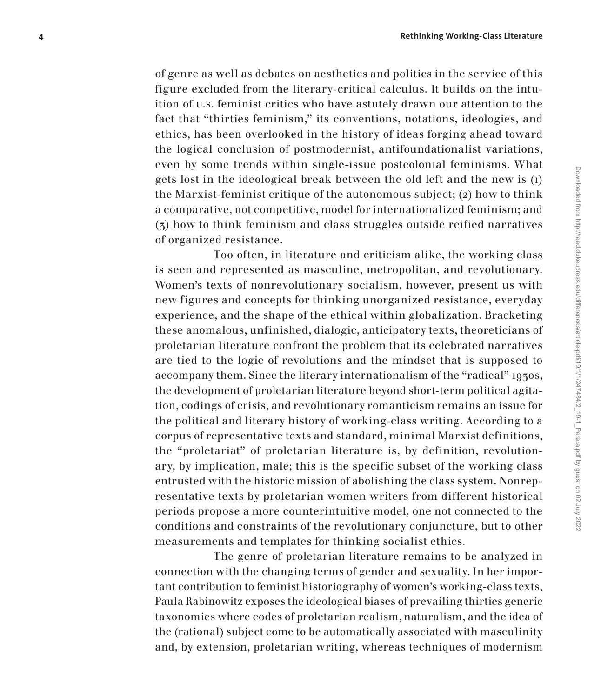of genre as well as debates on aesthetics and politics in the service of this figure excluded from the literary-critical calculus. It builds on the intu ition of u.s. feminist critics who have astutely drawn our attention to the fact that "thirties feminism," its conventions, notations, ideologies, and ethics, has been overlooked in the history of ideas forging ahead toward the logical conclusion of postmodernist, antifoundationalist variations, even by some trends within single-issue postcolonial feminisms. What gets lost in the ideological break between the old left and the new is (1) the Marxist-feminist critique of the autonomous subject; (2) how to think a comparative, not competitive, model for internationalized feminism; and (3) how to think feminism and class struggles outside reified narratives of organized resistance.

Too often, in literature and criticism alike, the working class is seen and represented as masculine, metropolitan, and revolutionary. Women's texts of nonrevolutionary socialism, however, present us with new figures and concepts for thinking unorganized resistance, everyday experience, and the shape of the ethical within globalization. Bracketing these anomalous, unfinished, dialogic, anticipatory texts, theoreticians of proletarian literature confront the problem that its celebrated narratives are tied to the logic of revolutions and the mindset that is supposed to accompany them. Since the literary internationalism of the "radical" 1930s, the development of proletarian literature beyond short-term political agita tion, codings of crisis, and revolutionary romanticism remains an issue for the political and literary history of working-class writing. According to a corpus of representative texts and standard, minimal Marxist definitions, the "proletariat" of proletarian literature is, by definition, revolution ary, by implication, male; this is the specific subset of the working class entrusted with the historic mission of abolishing the class system. Nonrep resentative texts by proletarian women writers from different historical periods propose a more counterintuitive model, one not connected to the conditions and constraints of the revolutionary conjuncture, but to other measurements and templates for thinking socialist ethics.

The genre of proletarian literature remains to be analyzed in connection with the changing terms of gender and sexuality. In her impor tant contribution to feminist historiography of women's working-class texts, Paula Rabinowitz exposes the ideological biases of prevailing thirties generic taxonomies where codes of proletarian realism, naturalism, and the idea of the (rational) subject come to be automatically associated with masculinity and, by extension, proletarian writing, whereas techniques of modernism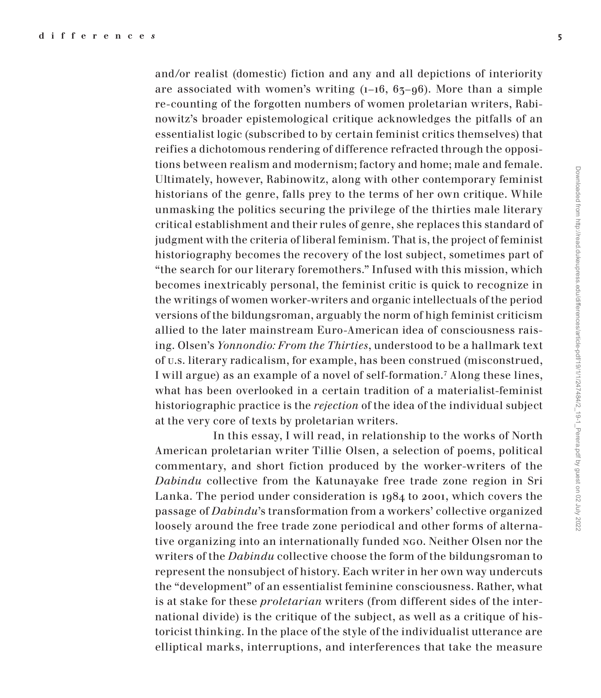and/or realist (domestic) fiction and any and all depictions of interiority are associated with women's writing  $(1-16, 65-96)$ . More than a simple re-counting of the forgotten numbers of women proletarian writers, Rabinowitz's broader epistemological critique acknowledges the pitfalls of an essentialist logic (subscribed to by certain feminist critics themselves) that reifies a dichotomous rendering of difference refracted through the oppositions between realism and modernism; factory and home; male and female. Ultimately, however, Rabinowitz, along with other contemporary feminist historians of the genre, falls prey to the terms of her own critique. While unmasking the politics securing the privilege of the thirties male literary critical establishment and their rules of genre, she replaces this standard of judgment with the criteria of liberal feminism. That is, the project of feminist historiography becomes the recovery of the lost subject, sometimes part of "the search for our literary foremothers." Infused with this mission, which becomes inextricably personal, the feminist critic is quick to recognize in the writings of women worker-writers and organic intellectuals of the period versions of the bildungsroman, arguably the norm of high feminist criticism allied to the later mainstream Euro-American idea of consciousness raising. Olsen's *Yonnondio: From the Thirties*, understood to be a hallmark text of u.s. literary radicalism, for example, has been construed (misconstrued, I will argue) as an example of a novel of self-formation.<sup>7</sup> Along these lines, what has been overlooked in a certain tradition of a materialist-feminist historiographic practice is the *rejection* of the idea of the individual subject at the very core of texts by proletarian writers.

In this essay, I will read, in relationship to the works of North American proletarian writer Tillie Olsen, a selection of poems, political commentary, and short fiction produced by the worker-writers of the *Dabindu* collective from the Katunayake free trade zone region in Sri Lanka. The period under consideration is 1984 to 2001, which covers the passage of *Dabindu*'s transformation from a workers' collective organized loosely around the free trade zone periodical and other forms of alternative organizing into an internationally funded ngo. Neither Olsen nor the writers of the *Dabindu* collective choose the form of the bildungsroman to represent the nonsubject of history. Each writer in her own way undercuts the "development" of an essentialist feminine consciousness. Rather, what is at stake for these *proletarian* writers (from different sides of the international divide) is the critique of the subject, as well as a critique of historicist thinking. In the place of the style of the individualist utterance are elliptical marks, interruptions, and interferences that take the measure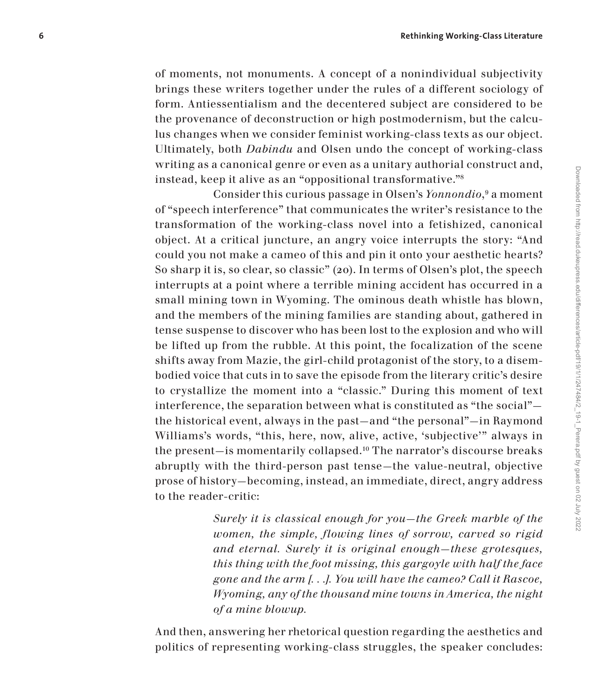of moments, not monuments. A concept of a nonindividual subjectivity brings these writers together under the rules of a different sociology of form. Antiessentialism and the decentered subject are considered to be the provenance of deconstruction or high postmodernism, but the calcu lus changes when we consider feminist working-class texts as our object. Ultimately, both *Dabindu* and Olsen undo the concept of working-class writing as a canonical genre or even as a unitary authorial construct and, instead, keep it alive as an "oppositional transformative." 8

Consider this curious passage in Olsen's *Yonnondio*,<sup>9</sup> a moment of "speech interference" that communicates the writer's resistance to the transformation of the working-class novel into a fetishized, canonical object. At a critical juncture, an angry voice interrupts the story: "And could you not make a cameo of this and pin it onto your aesthetic hearts? So sharp it is, so clear, so classic" (20). In terms of Olsen's plot, the speech interrupts at a point where a terrible mining accident has occurred in a small mining town in Wyoming. The ominous death whistle has blown, and the members of the mining families are standing about, gathered in tense suspense to discover who has been lost to the explosion and who will be lifted up from the rubble. At this point, the focalization of the scene shifts away from Mazie, the girl-child protagonist of the story, to a disem bodied voice that cuts in to save the episode from the literary critic's desire to crystallize the moment into a "classic." During this moment of text interference, the separation between what is constituted as "the social" the historical event, always in the past—and "the personal"—in Raymond Williams's words, "this, here, now, alive, active, 'subjective'" always in the present—is momentarily collapsed.<sup>10</sup> The narrator's discourse breaks abruptly with the third-person past tense—the value-neutral, objective prose of history—becoming, instead, an immediate, direct, angry address to the reader-critic:

> *Surely it is classical enough for you—the Greek marble of the women, the simple, flowing lines of sorrow, carved so rigid and eternal. Surely it is original enough—these grotesques, this thing with the foot missing, this gargoyle with half the face gone and the arm [. . .]. You will have the cameo? Call it Rascoe, Wyoming, any of the thousand mine towns in America, the night of a mine blowup.*

And then, answering her rhetorical question regarding the aesthetics and politics of representing working-class struggles, the speaker concludes: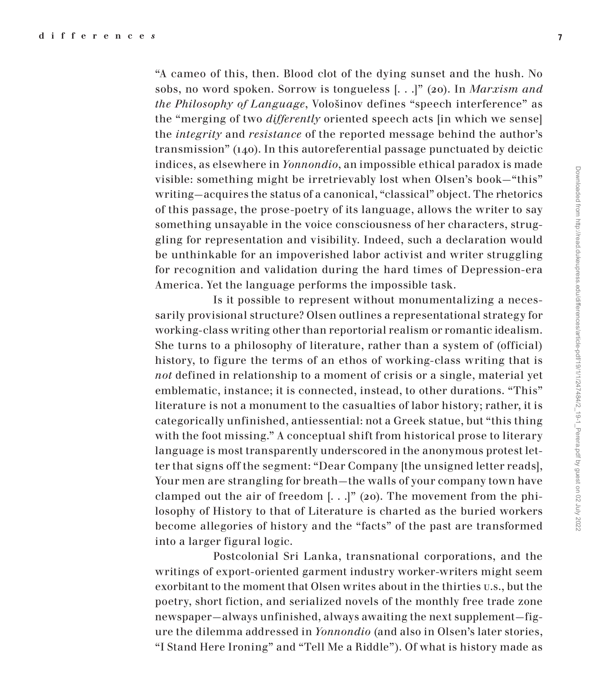"A cameo of this, then. Blood clot of the dying sunset and the hush. No sobs, no word spoken. Sorrow is tongueless [. . .]" (20). In *Marxism and the Philosophy of Language*, Vološinov defines "speech interference" as the "merging of two *differently* oriented speech acts [in which we sense] the *integrity* and *resistance* of the reported message behind the author's transmission" (140). In this autoreferential passage punctuated by deictic indices, as elsewhere in *Yonnondio*, an impossible ethical paradox is made visible: something might be irretrievably lost when Olsen's book—"this" writing—acquires the status of a canonical, "classical" object. The rhetorics of this passage, the prose-poetry of its language, allows the writer to say something unsayable in the voice consciousness of her characters, struggling for representation and visibility. Indeed, such a declaration would be unthinkable for an impoverished labor activist and writer struggling for recognition and validation during the hard times of Depression-era America. Yet the language performs the impossible task.

Is it possible to represent without monumentalizing a necessarily provisional structure? Olsen outlines a representational strategy for working-class writing other than reportorial realism or romantic idealism. She turns to a philosophy of literature, rather than a system of (official) history, to figure the terms of an ethos of working-class writing that is *not* defined in relationship to a moment of crisis or a single, material yet emblematic, instance; it is connected, instead, to other durations. "This" literature is not a monument to the casualties of labor history; rather, it is categorically unfinished, antiessential: not a Greek statue, but "this thing with the foot missing." A conceptual shift from historical prose to literary language is most transparently underscored in the anonymous protest letter that signs off the segment: "Dear Company [the unsigned letter reads], Your men are strangling for breath—the walls of your company town have clamped out the air of freedom  $\left[ \ldots \right]$ " (20). The movement from the philosophy of History to that of Literature is charted as the buried workers become allegories of history and the "facts" of the past are transformed into a larger figural logic.

Postcolonial Sri Lanka, transnational corporations, and the writings of export-oriented garment industry worker-writers might seem exorbitant to the moment that Olsen writes about in the thirties u.s., but the poetry, short fiction, and serialized novels of the monthly free trade zone newspaper—always unfinished, always awaiting the next supplement—figure the dilemma addressed in *Yonnondio* (and also in Olsen's later stories, "I Stand Here Ironing" and "Tell Me a Riddle"). Of what is history made as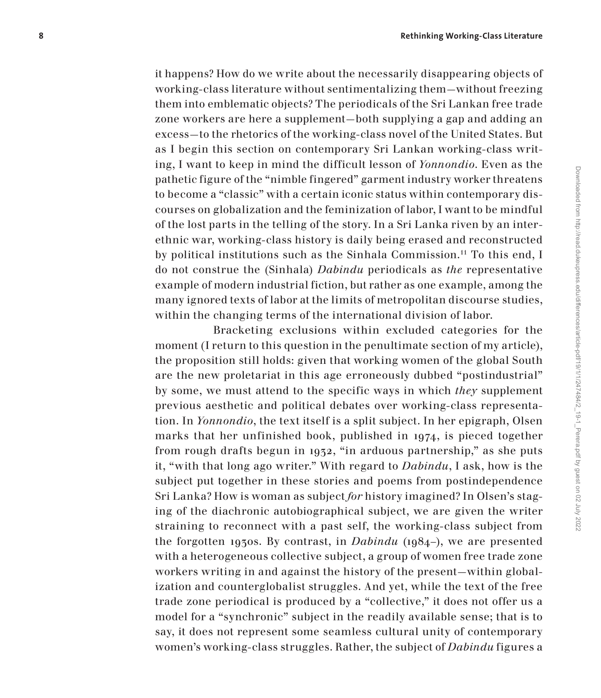it happens? How do we write about the necessarily disappearing objects of working-class literature without sentimentalizing them—without freezing them into emblematic objects? The periodicals of the Sri Lankan free trade zone workers are here a supplement—both supplying a gap and adding an excess—to the rhetorics of the working-class novel of the United States. But as I begin this section on contemporary Sri Lankan working-class writ ing, I want to keep in mind the difficult lesson of *Yonnondio*. Even as the pathetic figure of the "nimble fingered" garment industry worker threatens to become a "classic" with a certain iconic status within contemporary dis courses on globalization and the feminization of labor, I want to be mindful of the lost parts in the telling of the story. In a Sri Lanka riven by an inter ethnic war, working-class history is daily being erased and reconstructed by political institutions such as the Sinhala Commission.<sup>11</sup> To this end, I do not construe the (Sinhala) *Dabindu* periodicals as *the* representative example of modern industrial fiction, but rather as one example, among the many ignored texts of labor at the limits of metropolitan discourse studies, within the changing terms of the international division of labor.

Bracketing exclusions within excluded categories for the moment (I return to this question in the penultimate section of my article), the proposition still holds: given that working women of the global South are the new proletariat in this age erroneously dubbed "postindustrial" by some, we must attend to the specific ways in which *they* supplement previous aesthetic and political debates over working-class representa tion. In *Yonnondio*, the text itself is a split subject. In her epigraph, Olsen marks that her unfinished book, published in 1974, is pieced together from rough drafts begun in 1932, "in arduous partnership," as she puts it, "with that long ago writer." With regard to *Dabindu*, I ask, how is the subject put together in these stories and poems from postindependence Sri Lanka? How is woman as subject *for* history imagined? In Olsen's stag ing of the diachronic autobiographical subject, we are given the writer straining to reconnect with a past self, the working-class subject from the forgotten 1930s. By contrast, in *Dabindu* (1984–), we are presented with a heterogeneous collective subject, a group of women free trade zone workers writing in and against the history of the present—within global ization and counterglobalist struggles. And yet, while the text of the free trade zone periodical is produced by a "collective," it does not offer us a model for a "synchronic" subject in the readily available sense; that is to say, it does not represent some seamless cultural unity of contemporary women's working-class struggles. Rather, the subject of *Dabindu* figures a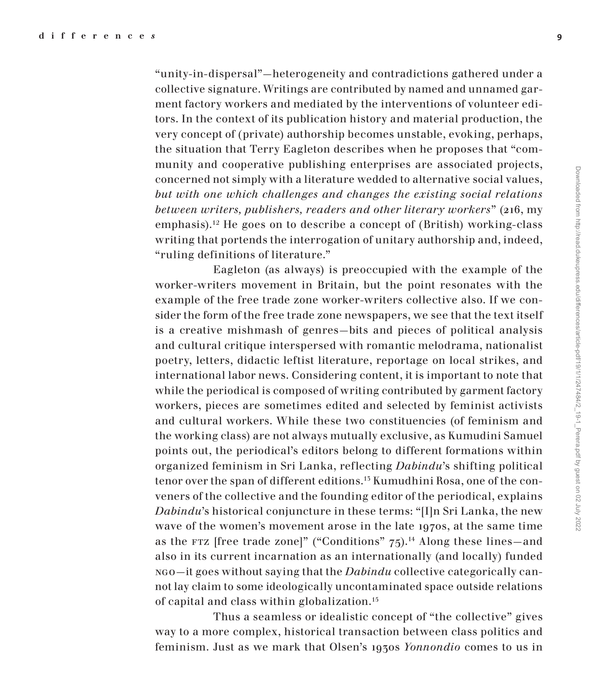"unity-in-dispersal"—heterogeneity and contradictions gathered under a collective signature. Writings are contributed by named and unnamed garment factory workers and mediated by the interventions of volunteer editors. In the context of its publication history and material production, the very concept of (private) authorship becomes unstable, evoking, perhaps, the situation that Terry Eagleton describes when he proposes that "community and cooperative publishing enterprises are associated projects, concerned not simply with a literature wedded to alternative social values, *but with one which challenges and changes the existing social relations between writers, publishers, readers and other literary workers*" (216, my emphasis).<sup>12</sup> He goes on to describe a concept of (British) working-class writing that portends the interrogation of unitary authorship and, indeed, "ruling definitions of literature."

Eagleton (as always) is preoccupied with the example of the worker-writers movement in Britain, but the point resonates with the example of the free trade zone worker-writers collective also. If we consider the form of the free trade zone newspapers, we see that the text itself is a creative mishmash of genres—bits and pieces of political analysis and cultural critique interspersed with romantic melodrama, nationalist poetry, letters, didactic leftist literature, reportage on local strikes, and international labor news. Considering content, it is important to note that while the periodical is composed of writing contributed by garment factory workers, pieces are sometimes edited and selected by feminist activists and cultural workers. While these two constituencies (of feminism and the working class) are not always mutually exclusive, as Kumudini Samuel points out, the periodical's editors belong to different formations within organized feminism in Sri Lanka, reflecting *Dabindu*'s shifting political tenor over the span of different editions.13 Kumudhini Rosa, one of the conveners of the collective and the founding editor of the periodical, explains *Dabindu*'s historical conjuncture in these terms: "[I]n Sri Lanka, the new wave of the women's movement arose in the late 1970s, at the same time as the FTZ [free trade zone]" ("Conditions"  $75$ ).<sup>14</sup> Along these lines—and also in its current incarnation as an internationally (and locally) funded ngo—it goes without saying that the *Dabindu* collective categorically cannot lay claim to some ideologically uncontaminated space outside relations of capital and class within globalization.<sup>15</sup>

Thus a seamless or idealistic concept of "the collective" gives way to a more complex, historical transaction between class politics and feminism. Just as we mark that Olsen's 1930s *Yonnondio* comes to us in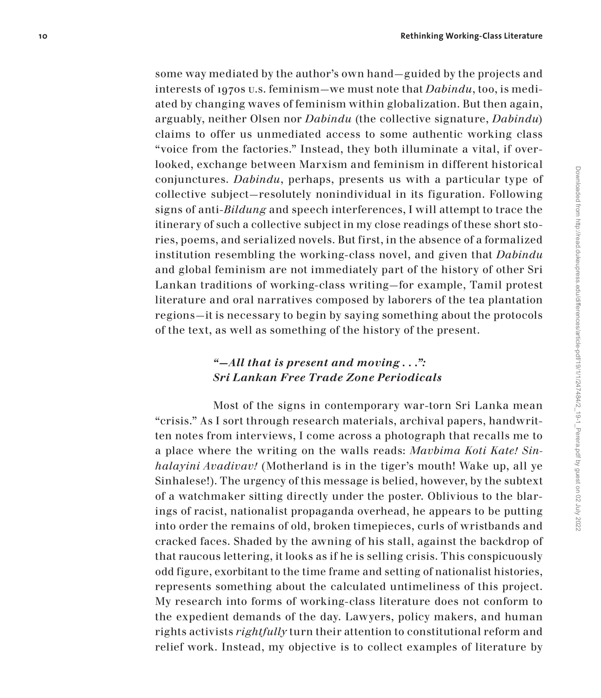some way mediated by the author's own hand—guided by the projects and interests of 1970s u.s. feminism—we must note that *Dabindu*, too, is medi ated by changing waves of feminism within globalization. But then again, arguably, neither Olsen nor *Dabindu* (the collective signature, *Dabindu*) claims to offer us unmediated access to some authentic working class "voice from the factories." Instead, they both illuminate a vital, if over looked, exchange between Marxism and feminism in different historical conjunctures. *Dabindu*, perhaps, presents us with a particular type of collective subject—resolutely nonindividual in its figuration. Following signs of anti-*Bildung* and speech interferences, I will attempt to trace the itinerary of such a collective subject in my close readings of these short sto ries, poems, and serialized novels. But first, in the absence of a formalized institution resembling the working-class novel, and given that *Dabindu* and global feminism are not immediately part of the history of other Sri Lankan traditions of working-class writing—for example, Tamil protest literature and oral narratives composed by laborers of the tea plantation regions—it is necessary to begin by saying something about the protocols of the text, as well as something of the history of the present.

## *"—All that is present and moving . . .": Sri Lankan Free Trade Zone Periodicals*

Most of the signs in contemporary war-torn Sri Lanka mean "crisis." As I sort through research materials, archival papers, handwrit ten notes from interviews, I come across a photograph that recalls me to a place where the writing on the walls reads: *Mavbima Koti Kate! Sin halayini Avadivav!* (Motherland is in the tiger's mouth! Wake up, all ye Sinhalese!). The urgency of this message is belied, however, by the subtext of a watchmaker sitting directly under the poster. Oblivious to the blar ings of racist, nationalist propaganda overhead, he appears to be putting into order the remains of old, broken timepieces, curls of wristbands and cracked faces. Shaded by the awning of his stall, against the backdrop of that raucous lettering, it looks as if he is selling crisis. This conspicuously odd figure, exorbitant to the time frame and setting of nationalist histories, represents something about the calculated untimeliness of this project. My research into forms of working-class literature does not conform to the expedient demands of the day. Lawyers, policy makers, and human rights activists *rightfully* turn their attention to constitutional reform and relief work. Instead, my objective is to collect examples of literature by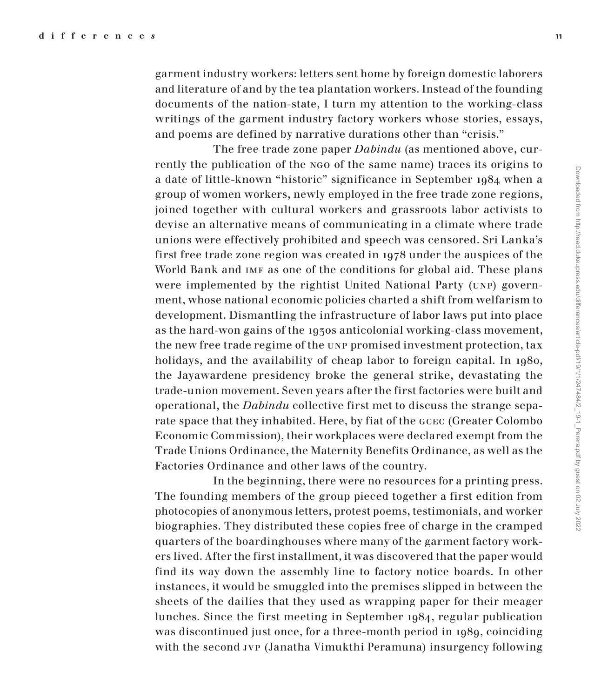garment industry workers: letters sent home by foreign domestic laborers and literature of and by the tea plantation workers. Instead of the founding documents of the nation-state, I turn my attention to the working-class writings of the garment industry factory workers whose stories, essays, and poems are defined by narrative durations other than "crisis."

The free trade zone paper *Dabindu* (as mentioned above, currently the publication of the ngo of the same name) traces its origins to a date of little-known "historic" significance in September 1984 when a group of women workers, newly employed in the free trade zone regions, joined together with cultural workers and grassroots labor activists to devise an alternative means of communicating in a climate where trade unions were effectively prohibited and speech was censored. Sri Lanka's first free trade zone region was created in 1978 under the auspices of the World Bank and IMF as one of the conditions for global aid. These plans were implemented by the rightist United National Party (UNP) government, whose national economic policies charted a shift from welfarism to development. Dismantling the infrastructure of labor laws put into place as the hard-won gains of the 1930s anticolonial working-class movement, the new free trade regime of the unp promised investment protection, tax holidays, and the availability of cheap labor to foreign capital. In 1980, the Jayawardene presidency broke the general strike, devastating the trade-union movement. Seven years after the first factories were built and operational, the *Dabindu* collective first met to discuss the strange separate space that they inhabited. Here, by fiat of the gcec (Greater Colombo Economic Commission), their workplaces were declared exempt from the Trade Unions Ordinance, the Maternity Benefits Ordinance, as well as the Factories Ordinance and other laws of the country.

In the beginning, there were no resources for a printing press. The founding members of the group pieced together a first edition from photocopies of anonymous letters, protest poems, testimonials, and worker biographies. They distributed these copies free of charge in the cramped quarters of the boardinghouses where many of the garment factory workers lived. After the first installment, it was discovered that the paper would find its way down the assembly line to factory notice boards. In other instances, it would be smuggled into the premises slipped in between the sheets of the dailies that they used as wrapping paper for their meager lunches. Since the first meeting in September 1984, regular publication was discontinued just once, for a three-month period in 1989, coinciding with the second jvp (Janatha Vimukthi Peramuna) insurgency following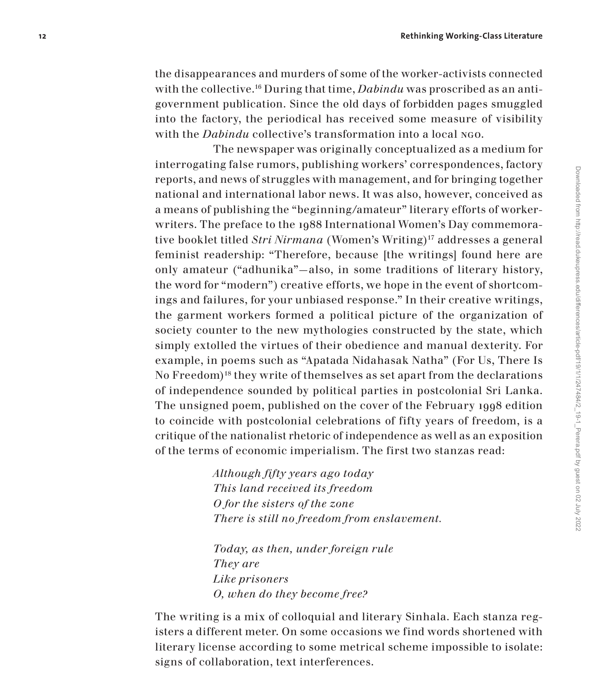the disappearances and murders of some of the worker-activists connected with the collective.<sup>16</sup> During that time, *Dabindu* was proscribed as an anti government publication. Since the old days of forbidden pages smuggled into the factory, the periodical has received some measure of visibility with the *Dabindu* collective's transformation into a local ngo .

The newspaper was originally conceptualized as a medium for interrogating false rumors, publishing workers' correspondences, factory reports, and news of struggles with management, and for bringing together national and international labor news. It was also, however, conceived as a means of publishing the "beginning/amateur" literary efforts of workerwriters. The preface to the 1988 International Women's Day commemorative booklet titled *Stri Nirmana* (Women's Writing)<sup>17</sup> addresses a general feminist readership: "Therefore, because [the writings] found here are only amateur ("adhunika"—also, in some traditions of literary history, the word for "modern") creative efforts, we hope in the event of shortcom ings and failures, for your unbiased response." In their creative writings, the garment workers formed a political picture of the organization of society counter to the new mythologies constructed by the state, which simply extolled the virtues of their obedience and manual dexterity. For example, in poems such as "Apatada Nidahasak Natha" (For Us, There Is No Freedom)<sup>18</sup> they write of themselves as set apart from the declarations of independence sounded by political parties in postcolonial Sri Lanka. The unsigned poem, published on the cover of the February 1998 edition to coincide with postcolonial celebrations of fifty years of freedom, is a critique of the nationalist rhetoric of independence as well as an exposition of the terms of economic imperialism. The first two stanzas read:

> *Although fifty years ago today This land received its freedom O for the sisters of the zone There is still no freedom from enslavement.*

*Today, as then, under foreign rule They are Like prisoners O, when do they become free?*

The writing is a mix of colloquial and literary Sinhala. Each stanza reg isters a different meter. On some occasions we find words shortened with literary license according to some metrical scheme impossible to isolate: signs of collaboration, text interferences.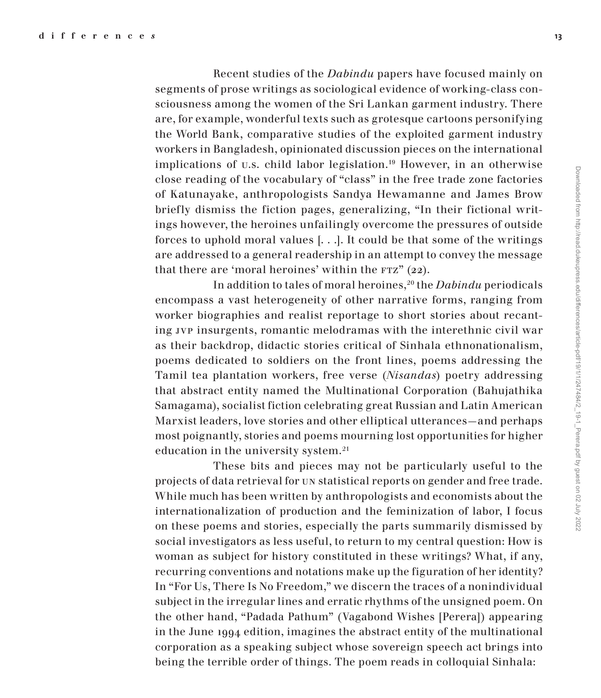Recent studies of the *Dabindu* papers have focused mainly on segments of prose writings as sociological evidence of working-class consciousness among the women of the Sri Lankan garment industry. There are, for example, wonderful texts such as grotesque cartoons personifying the World Bank, comparative studies of the exploited garment industry workers in Bangladesh, opinionated discussion pieces on the international implications of u.s. child labor legislation.<sup>19</sup> However, in an otherwise close reading of the vocabulary of "class" in the free trade zone factories of Katunayake, anthropologists Sandya Hewamanne and James Brow briefly dismiss the fiction pages, generalizing, "In their fictional writings however, the heroines unfailingly overcome the pressures of outside forces to uphold moral values [. . .]. It could be that some of the writings are addressed to a general readership in an attempt to convey the message that there are 'moral heroines' within the  $FTZ'' (22)$ .

In addition to tales of moral heroines,<sup>20</sup> the *Dabindu* periodicals encompass a vast heterogeneity of other narrative forms, ranging from worker biographies and realist reportage to short stories about recanting jvp insurgents, romantic melodramas with the interethnic civil war as their backdrop, didactic stories critical of Sinhala ethnonationalism, poems dedicated to soldiers on the front lines, poems addressing the Tamil tea plantation workers, free verse (*Nisandas*) poetry addressing that abstract entity named the Multinational Corporation (Bahujathika Samagama), socialist fiction celebrating great Russian and Latin American Marxist leaders, love stories and other elliptical utterances—and perhaps most poignantly, stories and poems mourning lost opportunities for higher education in the university system.<sup>21</sup>

These bits and pieces may not be particularly useful to the projects of data retrieval for un statistical reports on gender and free trade. While much has been written by anthropologists and economists about the internationalization of production and the feminization of labor, I focus on these poems and stories, especially the parts summarily dismissed by social investigators as less useful, to return to my central question: How is woman as subject for history constituted in these writings? What, if any, recurring conventions and notations make up the figuration of her identity? In "For Us, There Is No Freedom," we discern the traces of a nonindividual subject in the irregular lines and erratic rhythms of the unsigned poem. On the other hand, "Padada Pathum" (Vagabond Wishes [Perera]) appearing in the June 1994 edition, imagines the abstract entity of the multinational corporation as a speaking subject whose sovereign speech act brings into being the terrible order of things. The poem reads in colloquial Sinhala: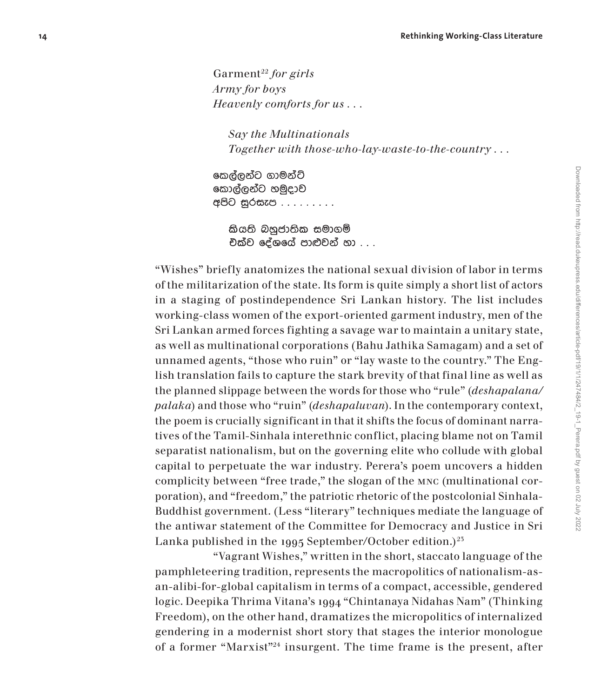Garment<sup>22</sup> for girls *Army for boys Heavenly comforts for us . . .*

> *Say the Multinationals Together with those-who-lay-waste-to-the-country . . .*

කෙල්ලන්ට ගාමන්ට් කොල්ලන්ට හමුදාව අපිට සුරසැප . . . . . . . . .

> කියති බහුජාතික සමාගම් චික්ව දේශයේ පාළුවන් හා . . .

"Wishes" briefly anatomizes the national sexual division of labor in terms of the militarization of the state. Its form is quite simply a short list of actors in a staging of postindependence Sri Lankan history. The list includes working-class women of the export-oriented garment industry, men of the Sri Lankan armed forces fighting a savage war to maintain a unitary state, as well as multinational corporations (Bahu Jathika Samagam) and a set of unnamed agents, "those who ruin" or "lay waste to the country." The Eng lish translation fails to capture the stark brevity of that final line as well as the planned slippage between the words for those who "rule" (*deshapalana/ palaka*) and those who "ruin" (*deshapaluvan*). In the contemporary context, the poem is crucially significant in that it shifts the focus of dominant narra tives of the Tamil-Sinhala interethnic conflict, placing blame not on Tamil separatist nationalism, but on the governing elite who collude with global capital to perpetuate the war industry. Perera's poem uncovers a hidden complicity between "free trade," the slogan of the mnc (multinational cor poration), and "freedom," the patriotic rhetoric of the postcolonial Sinhala-Buddhist government. (Less "literary" techniques mediate the language of the antiwar statement of the Committee for Democracy and Justice in Sri Lanka published in the 1995 September/October edition.)<sup>25</sup>

"Vagrant Wishes," written in the short, staccato language of the pamphleteering tradition, represents the macropolitics of nationalism-asan-alibi-for-global capitalism in terms of a compact, accessible, gendered logic. Deepika Thrima Vitana's 1994 "Chintanaya Nidahas Nam" (Thinking Freedom), on the other hand, dramatizes the micropolitics of internalized gendering in a modernist short story that stages the interior monologue of a former "Marxist"<sup>24</sup> insurgent. The time frame is the present, after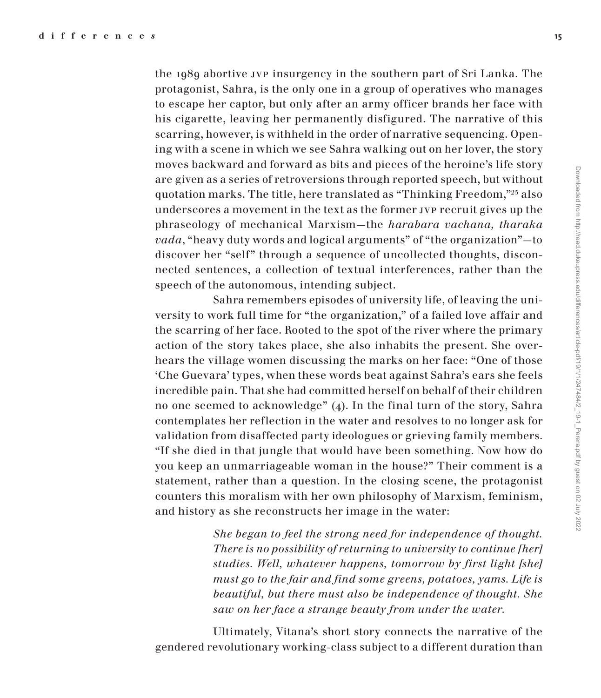the 1989 abortive jvp insurgency in the southern part of Sri Lanka. The protagonist, Sahra, is the only one in a group of operatives who manages to escape her captor, but only after an army officer brands her face with his cigarette, leaving her permanently disfigured. The narrative of this scarring, however, is withheld in the order of narrative sequencing. Opening with a scene in which we see Sahra walking out on her lover, the story moves backward and forward as bits and pieces of the heroine's life story are given as a series of retroversions through reported speech, but without quotation marks. The title, here translated as "Thinking Freedom,"<sup>25</sup> also underscores a movement in the text as the former jvp recruit gives up the phraseology of mechanical Marxism—the *harabara vachana, tharaka vada*, "heavy duty words and logical arguments" of "the organization"—to discover her "self" through a sequence of uncollected thoughts, disconnected sentences, a collection of textual interferences, rather than the speech of the autonomous, intending subject.

Sahra remembers episodes of university life, of leaving the university to work full time for "the organization," of a failed love affair and the scarring of her face. Rooted to the spot of the river where the primary action of the story takes place, she also inhabits the present. She overhears the village women discussing the marks on her face: "One of those 'Che Guevara' types, when these words beat against Sahra's ears she feels incredible pain. That she had committed herself on behalf of their children no one seemed to acknowledge" (4). In the final turn of the story, Sahra contemplates her reflection in the water and resolves to no longer ask for validation from disaffected party ideologues or grieving family members. "If she died in that jungle that would have been something. Now how do you keep an unmarriageable woman in the house?" Their comment is a statement, rather than a question. In the closing scene, the protagonist counters this moralism with her own philosophy of Marxism, feminism, and history as she reconstructs her image in the water:

> *She began to feel the strong need for independence of thought. There is no possibility of returning to university to continue [her] studies. Well, whatever happens, tomorrow by first light [she] must go to the fair and find some greens, potatoes, yams. Life is beautiful, but there must also be independence of thought. She saw on her face a strange beauty from under the water.*

Ultimately, Vitana's short story connects the narrative of the gendered revolutionary working-class subject to a different duration than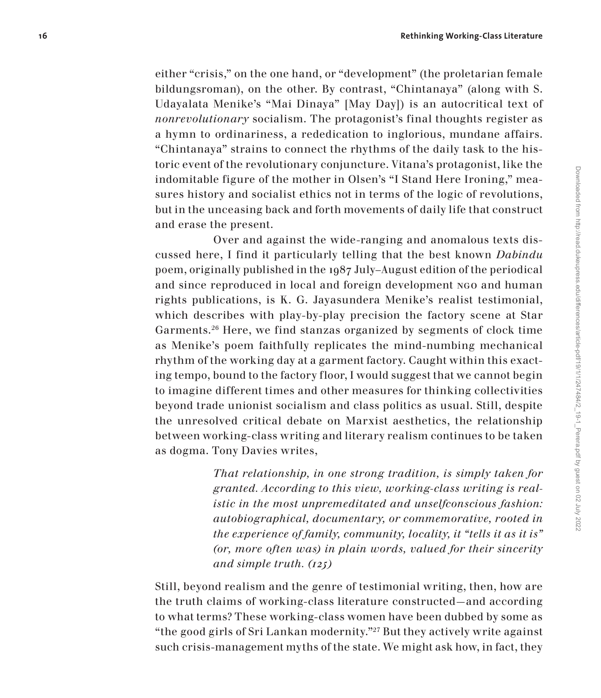either "crisis," on the one hand, or "development" (the proletarian female bildungsroman), on the other. By contrast, "Chintanaya" (along with S. Udayalata Menike's "Mai Dinaya" [May Day]) is an autocritical text of *nonrevolutionary* socialism. The protagonist's final thoughts register as a hymn to ordinariness, a rededication to inglorious, mundane affairs. "Chintanaya" strains to connect the rhythms of the daily task to the his toric event of the revolutionary conjuncture. Vitana's protagonist, like the indomitable figure of the mother in Olsen's "I Stand Here Ironing," mea sures history and socialist ethics not in terms of the logic of revolutions, but in the unceasing back and forth movements of daily life that construct and erase the present.

Over and against the wide-ranging and anomalous texts dis cussed here, I find it particularly telling that the best known *Dabindu* poem, originally published in the 1987 July–August edition of the periodical and since reproduced in local and foreign development ngo and human rights publications, is K. G. Jayasundera Menike's realist testimonial, which describes with play-by-play precision the factory scene at Star Garments.<sup>26</sup> Here, we find stanzas organized by segments of clock time as Menike's poem faithfully replicates the mind-numbing mechanical rhythm of the working day at a garment factory. Caught within this exact ing tempo, bound to the factory floor, I would suggest that we cannot begin to imagine different times and other measures for thinking collectivities beyond trade unionist socialism and class politics as usual. Still, despite the unresolved critical debate on Marxist aesthetics, the relationship between working-class writing and literary realism continues to be taken as dogma. Tony Davies writes,

> *That relationship, in one strong tradition, is simply taken for granted. According to this view, working-class writing is real istic in the most unpremeditated and unselfconscious fashion: autobiographical, documentary, or commemorative, rooted in the experience of family, community, locality, it "tells it as it is" (or, more often was) in plain words, valued for their sincerity and simple truth. (125)*

Still, beyond realism and the genre of testimonial writing, then, how are the truth claims of working-class literature constructed—and according to what terms? These working-class women have been dubbed by some as "the good girls of Sri Lankan modernity."<sup>27</sup> But they actively write against such crisis-management myths of the state. We might ask how, in fact, they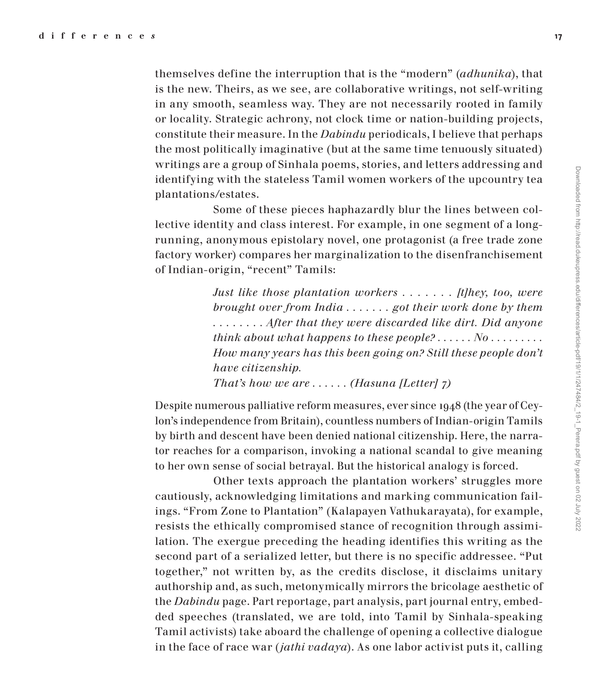themselves define the interruption that is the "modern" (*adhunika*), that is the new. Theirs, as we see, are collaborative writings, not self-writing in any smooth, seamless way. They are not necessarily rooted in family or locality. Strategic achrony, not clock time or nation-building projects, constitute their measure. In the *Dabindu* periodicals, I believe that perhaps the most politically imaginative (but at the same time tenuously situated) writings are a group of Sinhala poems, stories, and letters addressing and identifying with the stateless Tamil women workers of the upcountry tea plantations/estates.

Some of these pieces haphazardly blur the lines between collective identity and class interest. For example, in one segment of a longrunning, anonymous epistolary novel, one protagonist (a free trade zone factory worker) compares her marginalization to the disenfranchisement of Indian-origin, "recent" Tamils:

> *Just like those plantation workers . . . . . . . [t]hey, too, were brought over from India . . . . . . . got their work done by them . . . . . . . . After that they were discarded like dirt. Did anyone think about what happens to these people? . . . . . . No . . . . . . . . . How many years has this been going on? Still these people don't have citizenship. That's how we are . . . . . . (Hasuna [Letter] 7)*

Despite numerous palliative reform measures, ever since 1948 (the year of Ceylon's independence from Britain), countless numbers of Indian-origin Tamils by birth and descent have been denied national citizenship. Here, the narrator reaches for a comparison, invoking a national scandal to give meaning to her own sense of social betrayal. But the historical analogy is forced.

Other texts approach the plantation workers' struggles more cautiously, acknowledging limitations and marking communication failings. "From Zone to Plantation" (Kalapayen Vathukarayata), for example, resists the ethically compromised stance of recognition through assimilation. The exergue preceding the heading identifies this writing as the second part of a serialized letter, but there is no specific addressee. "Put together," not written by, as the credits disclose, it disclaims unitary authorship and, as such, metonymically mirrors the bricolage aesthetic of the *Dabindu* page. Part reportage, part analysis, part journal entry, embedded speeches (translated, we are told, into Tamil by Sinhala-speaking Tamil activists) take aboard the challenge of opening a collective dialogue in the face of race war ( *jathi vadaya*). As one labor activist puts it, calling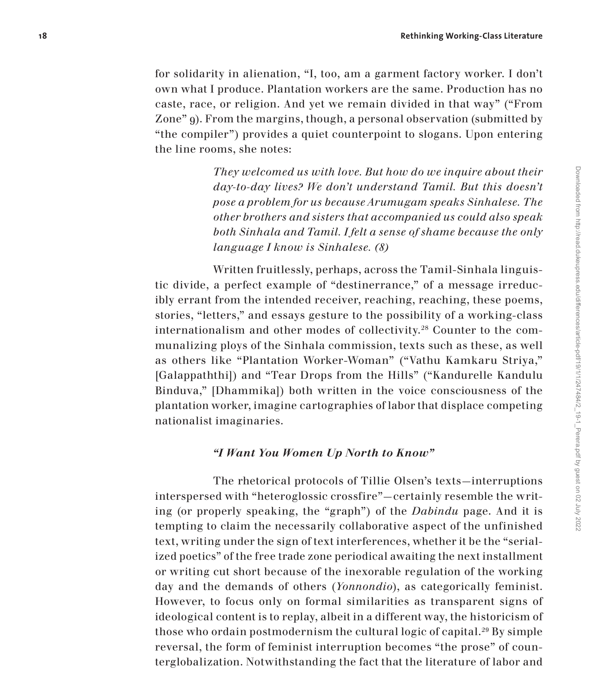for solidarity in alienation, "I, too, am a garment factory worker. I don't own what I produce. Plantation workers are the same. Production has no caste, race, or religion. And yet we remain divided in that way" ("From Zone" 9). From the margins, though, a personal observation (submitted by "the compiler") provides a quiet counterpoint to slogans. Upon entering the line rooms, she notes:

> *They welcomed us with love. But how do we inquire about their day-to-day lives? We don't understand Tamil. But this doesn't pose a problem for us because Arumugam speaks Sinhalese. The other brothers and sisters that accompanied us could also speak both Sinhala and Tamil. I felt a sense of shame because the only language I know is Sinhalese. (8)*

Written fruitlessly, perhaps, across the Tamil-Sinhala linguis tic divide, a perfect example of "destinerrance," of a message irreduc ibly errant from the intended receiver, reaching, reaching, these poems, stories, "letters," and essays gesture to the possibility of a working-class internationalism and other modes of collectivity.<sup>28</sup> Counter to the communalizing ploys of the Sinhala commission, texts such as these, as well as others like "Plantation Worker-Woman" ("Vathu Kamkaru Striya," [Galappaththi]) and "Tear Drops from the Hills" ("Kandurelle Kandulu Binduva," [Dhammika]) both written in the voice consciousness of the plantation worker, imagine cartographies of labor that displace competing nationalist imaginaries.

### *"I Want You Women Up North to Know"*

The rhetorical protocols of Tillie Olsen's texts—interruptions interspersed with "heteroglossic crossfire"—certainly resemble the writ ing (or properly speaking, the "graph") of the *Dabindu* page. And it is tempting to claim the necessarily collaborative aspect of the unfinished text, writing under the sign of text interferences, whether it be the "serial ized poetics" of the free trade zone periodical awaiting the next installment or writing cut short because of the inexorable regulation of the working day and the demands of others (*Yonnondio*), as categorically feminist. However, to focus only on formal similarities as transparent signs of ideological content is to replay, albeit in a different way, the historicism of those who ordain postmodernism the cultural logic of capital.<sup>29</sup> By simple reversal, the form of feminist interruption becomes "the prose" of coun terglobalization. Notwithstanding the fact that the literature of labor and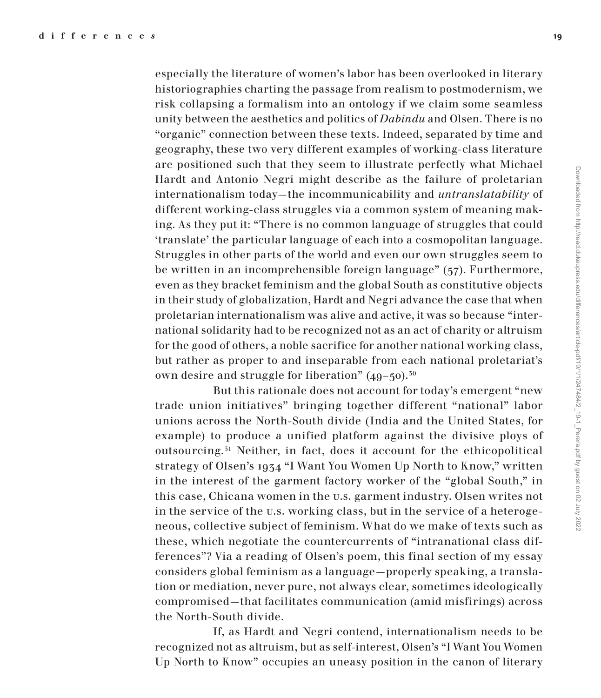especially the literature of women's labor has been overlooked in literary historiographies charting the passage from realism to postmodernism, we risk collapsing a formalism into an ontology if we claim some seamless unity between the aesthetics and politics of *Dabindu* and Olsen. There is no "organic" connection between these texts. Indeed, separated by time and geography, these two very different examples of working-class literature are positioned such that they seem to illustrate perfectly what Michael Hardt and Antonio Negri might describe as the failure of proletarian internationalism today—the incommunicability and *untranslatability* of different working-class struggles via a common system of meaning making. As they put it: "There is no common language of struggles that could 'translate' the particular language of each into a cosmopolitan language. Struggles in other parts of the world and even our own struggles seem to be written in an incomprehensible foreign language" (57). Furthermore, even as they bracket feminism and the global South as constitutive objects in their study of globalization, Hardt and Negri advance the case that when proletarian internationalism was alive and active, it was so because "international solidarity had to be recognized not as an act of charity or altruism for the good of others, a noble sacrifice for another national working class, but rather as proper to and inseparable from each national proletariat's own desire and struggle for liberation"  $(49-50)^{30}$ 

But this rationale does not account for today's emergent "new trade union initiatives" bringing together different "national" labor unions across the North-South divide (India and the United States, for example) to produce a unified platform against the divisive ploys of outsourcing.31 Neither, in fact, does it account for the ethicopolitical strategy of Olsen's 1934 "I Want You Women Up North to Know," written in the interest of the garment factory worker of the "global South," in this case, Chicana women in the u.s. garment industry. Olsen writes not in the service of the u.s. working class, but in the service of a heterogeneous, collective subject of feminism. What do we make of texts such as these, which negotiate the countercurrents of "intranational class differences"? Via a reading of Olsen's poem, this final section of my essay considers global feminism as a language—properly speaking, a translation or mediation, never pure, not always clear, sometimes ideologically compromised—that facilitates communication (amid misfirings) across the North-South divide.

If, as Hardt and Negri contend, internationalism needs to be recognized not as altruism, but as self-interest, Olsen's "I Want You Women Up North to Know" occupies an uneasy position in the canon of literary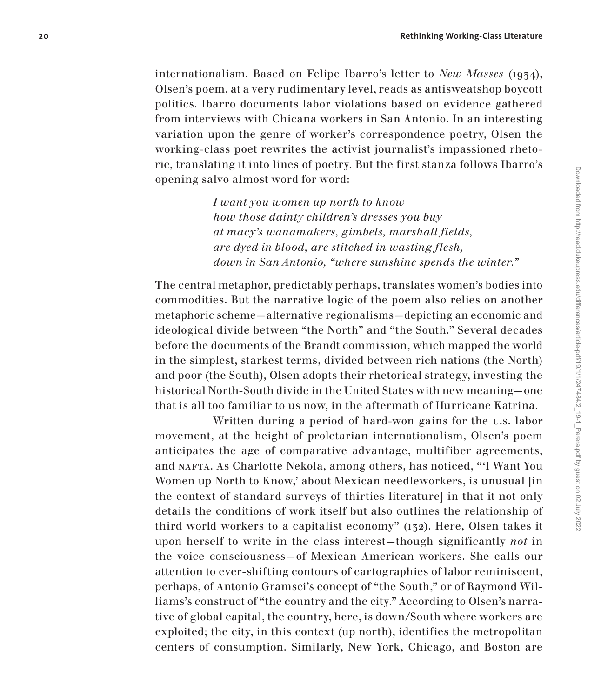internationalism. Based on Felipe Ibarro's letter to *New Masses* (1934), Olsen's poem, at a very rudimentary level, reads as antisweatshop boycott politics. Ibarro documents labor violations based on evidence gathered from interviews with Chicana workers in San Antonio. In an interesting variation upon the genre of worker's correspondence poetry, Olsen the working-class poet rewrites the activist journalist's impassioned rheto ric, translating it into lines of poetry. But the first stanza follows Ibarro's opening salvo almost word for word:

> *I want you women up north to know how those dainty children's dresses you buy at macy's wanamakers, gimbels, marshall fields, are dyed in blood, are stitched in wasting flesh, down in San Antonio, "where sunshine spends the winter."*

The central metaphor, predictably perhaps, translates women's bodies into commodities. But the narrative logic of the poem also relies on another metaphoric scheme—alternative regionalisms—depicting an economic and ideological divide between "the North" and "the South." Several decades before the documents of the Brandt commission, which mapped the world in the simplest, starkest terms, divided between rich nations (the North) and poor (the South), Olsen adopts their rhetorical strategy, investing the historical North-South divide in the United States with new meaning—one that is all too familiar to us now, in the aftermath of Hurricane Katrina.

Written during a period of hard-won gains for the u.s. labor movement, at the height of proletarian internationalism, Olsen's poem anticipates the age of comparative advantage, multifiber agreements, and nafta. As Charlotte Nekola, among others, has noticed, "'I Want You Women up North to Know,' about Mexican needleworkers, is unusual [in the context of standard surveys of thirties literature] in that it not only details the conditions of work itself but also outlines the relationship of third world workers to a capitalist economy" (132). Here, Olsen takes it upon herself to write in the class interest—though significantly *not* in the voice consciousness—of Mexican American workers. She calls our attention to ever-shifting contours of cartographies of labor reminiscent, perhaps, of Antonio Gramsci's concept of "the South," or of Raymond Wil liams's construct of "the country and the city." According to Olsen's narra tive of global capital, the country, here, is down/South where workers are exploited; the city, in this context (up north), identifies the metropolitan centers of consumption. Similarly, New York, Chicago, and Boston are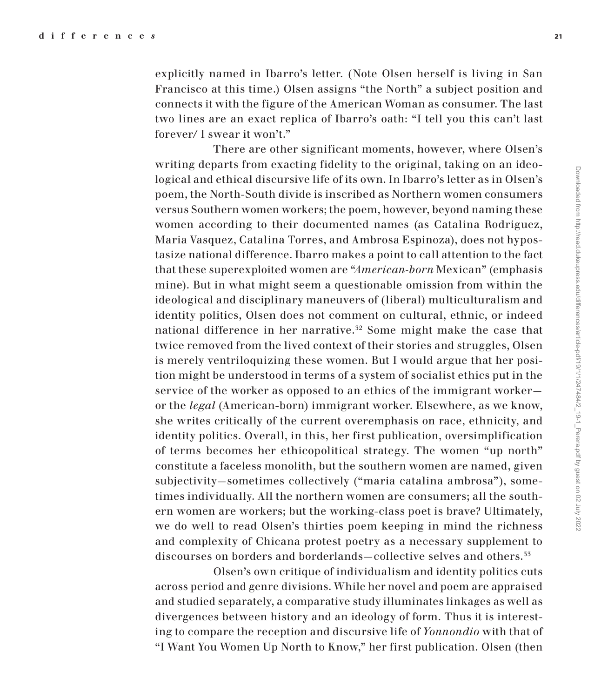explicitly named in Ibarro's letter. (Note Olsen herself is living in San Francisco at this time.) Olsen assigns "the North" a subject position and connects it with the figure of the American Woman as consumer. The last two lines are an exact replica of Ibarro's oath: "I tell you this can't last forever/ I swear it won't."

There are other significant moments, however, where Olsen's writing departs from exacting fidelity to the original, taking on an ideological and ethical discursive life of its own. In Ibarro's letter as in Olsen's poem, the North-South divide is inscribed as Northern women consumers versus Southern women workers; the poem, however, beyond naming these women according to their documented names (as Catalina Rodriguez, Maria Vasquez, Catalina Torres, and Ambrosa Espinoza), does not hypostasize national difference. Ibarro makes a point to call attention to the fact that these superexploited women are "*American-born* Mexican" (emphasis mine). But in what might seem a questionable omission from within the ideological and disciplinary maneuvers of (liberal) multiculturalism and identity politics, Olsen does not comment on cultural, ethnic, or indeed national difference in her narrative.<sup>32</sup> Some might make the case that twice removed from the lived context of their stories and struggles, Olsen is merely ventriloquizing these women. But I would argue that her position might be understood in terms of a system of socialist ethics put in the service of the worker as opposed to an ethics of the immigrant worker or the *legal* (American-born) immigrant worker. Elsewhere, as we know, she writes critically of the current overemphasis on race, ethnicity, and identity politics. Overall, in this, her first publication, oversimplification of terms becomes her ethicopolitical strategy. The women "up north" constitute a faceless monolith, but the southern women are named, given subjectivity—sometimes collectively ("maria catalina ambrosa"), sometimes individually. All the northern women are consumers; all the southern women are workers; but the working-class poet is brave? Ultimately, we do well to read Olsen's thirties poem keeping in mind the richness and complexity of Chicana protest poetry as a necessary supplement to discourses on borders and borderlands—collective selves and others.<sup>33</sup>

Olsen's own critique of individualism and identity politics cuts across period and genre divisions. While her novel and poem are appraised and studied separately, a comparative study illuminates linkages as well as divergences between history and an ideology of form. Thus it is interesting to compare the reception and discursive life of *Yonnondio* with that of "I Want You Women Up North to Know," her first publication. Olsen (then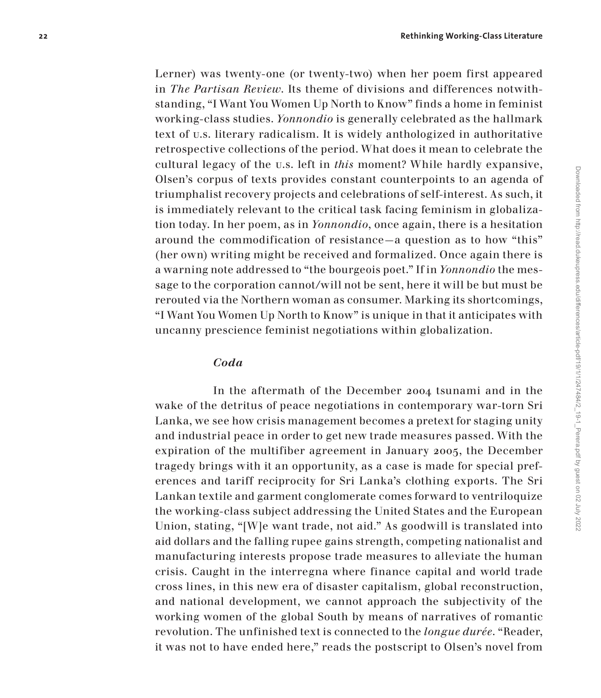Lerner) was twenty-one (or twenty-two) when her poem first appeared in *The Partisan Review*. Its theme of divisions and differences notwith standing, "I Want You Women Up North to Know" finds a home in feminist working-class studies. *Yonnondio* is generally celebrated as the hallmark text of u.s. literary radicalism. It is widely anthologized in authoritative retrospective collections of the period. What does it mean to celebrate the cultural legacy of the u.s. left in *this* moment? While hardly expansive, Olsen's corpus of texts provides constant counterpoints to an agenda of triumphalist recovery projects and celebrations of self-interest. As such, it is immediately relevant to the critical task facing feminism in globaliza tion today. In her poem, as in *Yonnondio*, once again, there is a hesitation around the commodification of resistance—a question as to how "this" (her own) writing might be received and formalized. Once again there is a warning note addressed to "the bourgeois poet." If in *Yonnondio* the mes sage to the corporation cannot/will not be sent, here it will be but must be rerouted via the Northern woman as consumer. Marking its shortcomings, "I Want You Women Up North to Know" is unique in that it anticipates with uncanny prescience feminist negotiations within globalization.

### *Coda*

In the aftermath of the December 2004 tsunami and in the wake of the detritus of peace negotiations in contemporary war-torn Sri Lanka, we see how crisis management becomes a pretext for staging unity and industrial peace in order to get new trade measures passed. With the expiration of the multifiber agreement in January 2005, the December tragedy brings with it an opportunity, as a case is made for special preferences and tariff reciprocity for Sri Lanka's clothing exports. The Sri Lankan textile and garment conglomerate comes forward to ventriloquize the working-class subject addressing the United States and the European Union, stating, "[W]e want trade, not aid." As goodwill is translated into aid dollars and the falling rupee gains strength, competing nationalist and manufacturing interests propose trade measures to alleviate the human crisis. Caught in the interregna where finance capital and world trade cross lines, in this new era of disaster capitalism, global reconstruction, and national development, we cannot approach the subjectivity of the working women of the global South by means of narratives of romantic revolution. The unfinished text is connected to the *longue durée*. "Reader, it was not to have ended here," reads the postscript to Olsen's novel from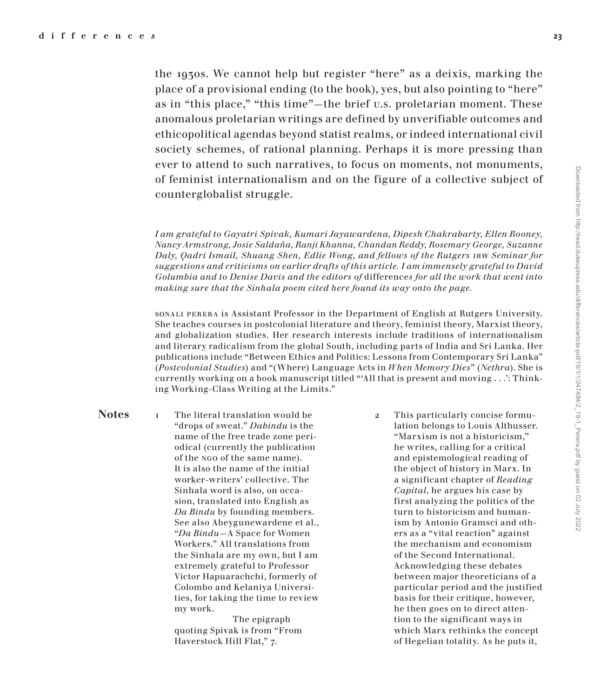the 1930s. We cannot help but register "here" as a deixis, marking the place of a provisional ending (to the book), yes, but also pointing to "here" as in "this place," "this time"—the brief u.s. proletarian moment. These anomalous proletarian writings are defined by unverifiable outcomes and ethicopolitical agendas beyond statist realms, or indeed international civil society schemes, of rational planning. Perhaps it is more pressing than ever to attend to such narratives, to focus on moments, not monuments, of feminist internationalism and on the figure of a collective subject of counterglobalist struggle.

*I am grateful to Gayatri Spivak, Kumari Jayawardena, Dipesh Chakrabarty, Ellen Rooney, Nancy Armstrong, Josie Saldaña, Ranji Khanna, Chandan Reddy, Rosemary George, Suzanne Daly, Qadri Ismail, Shuang Shen, Edlie Wong, and fellows of the Rutgers* irw *Seminar for suggestions and criticisms on earlier drafts of this article. I am immensely grateful to David Golumbia and to Denise Davis and the editors of* difference*s for all the work that went into making sure that the Sinhala poem cited here found its way onto the page.*

sonali perera is Assistant Professor in the Department of English at Rutgers University. She teaches courses in postcolonial literature and theory, feminist theory, Marxist theory, and globalization studies. Her research interests include traditions of internationalism and literary radicalism from the global South, including parts of India and Sri Lanka. Her publications include "Between Ethics and Politics: Lessons from Contemporary Sri Lanka" (*Postcolonial Studies*) and "(Where) Language Acts in *When Memory Dies*" (*Nethra*). She is currently working on a book manuscript titled "'All that is present and moving . . .': Thinking Working-Class Writing at the Limits."

1 The literal translation would be "drops of sweat." *Dabindu* is the name of the free trade zone periodical (currently the publication of the ngo of the same name). It is also the name of the initial worker-writers' collective. The Sinhala word is also, on occasion, translated into English as *Da Bindu* by founding members. See also Abeygunewardene et al., "*Da Bindu*—A Space for Women Workers." All translations from the Sinhala are my own, but I am extremely grateful to Professor Victor Hapuarachchi, formerly of Colombo and Kelaniya Universities, for taking the time to review my work. **Notes**

> The epigraph quoting Spivak is from "From Haverstock Hill Flat," 7.

2 This particularly concise formulation belongs to Louis Althusser. "Marxism is not a historicism," he writes, calling for a critical and epistemological reading of the object of history in Marx. In a significant chapter of *Reading Capital*, he argues his case by first analyzing the politics of the turn to historicism and humanism by Antonio Gramsci and others as a "vital reaction" against the mechanism and economism of the Second International. Acknowledging these debates between major theoreticians of a particular period and the justified basis for their critique, however, he then goes on to direct attention to the significant ways in which Marx rethinks the concept of Hegelian totality. As he puts it,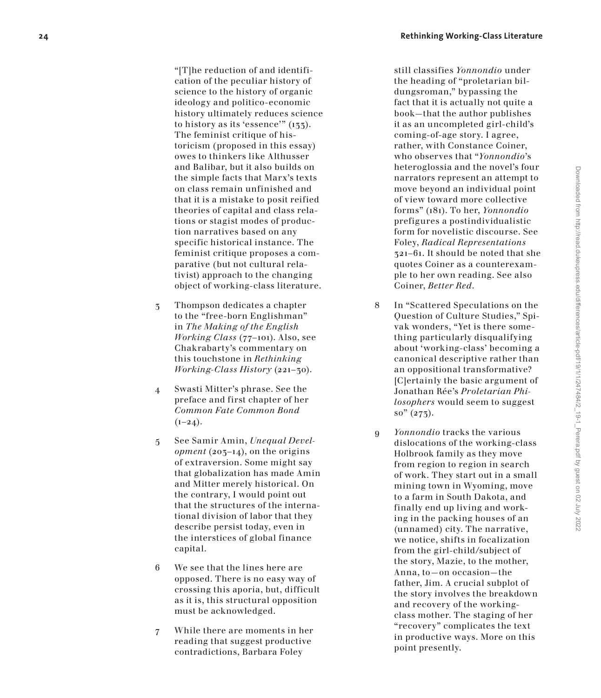"[T]he reduction of and identifi cation of the peculiar history of science to the history of organic ideology and politico-economic history ultimately reduces science to history as its 'essence'" (133). The feminist critique of his toricism (proposed in this essay) owes to thinkers like Althusser and Balibar, but it also builds on the simple facts that Marx's texts on class remain unfinished and that it is a mistake to posit reified theories of capital and class rela tions or stagist modes of produc tion narratives based on any specific historical instance. The feminist critique proposes a com parative (but not cultural rela tivist) approach to the changing object of working-class literature.

- 3 Thompson dedicates a chapter to the "free-born Englishman" in *The Making of the English Working Class* (77–101). Also, see Chakrabarty's commentary on this touchstone in *Rethinking Working-Class History* (221-30).
- 4 Swasti Mitter's phrase. See the preface and first chapter of her *Common Fate Common Bond*  $(1-24)$ .
- 5 See Samir Amin, *Unequal Devel opment* (203–14), on the origins of extraversion. Some might say that globalization has made Amin and Mitter merely historical. On the contrary, I would point out that the structures of the interna tional division of labor that they describe persist today, even in the interstices of global finance capital.
- 6 We see that the lines here are opposed. There is no easy way of crossing this aporia, but, difficult as it is, this structural opposition must be acknowledged.
- 7 While there are moments in her reading that suggest productive contradictions, Barbara Foley

still classifies *Yonnondio* under the heading of "proletarian bil dungsroman," bypassing the fact that it is actually not quite a book—that the author publishes it as an uncompleted girl-child's coming-of-age story. I agree, rather, with Constance Coiner, who observes that "*Yonnondio*'s heteroglossia and the novel's four narrators represent an attempt to move beyond an individual point of view toward more collective forms" (181). To her, *Yonnondio* prefigures a postindividualistic form for novelistic discourse. See Foley, *Radical Representations* 321–61. It should be noted that she quotes Coiner as a counterexam ple to her own reading. See also Coiner, *Better Red* .

- 8 In "Scattered Speculations on the Question of Culture Studies," Spi vak wonders, "Yet is there some thing particularly disqualifying about 'working-class' becoming a canonical descriptive rather than an oppositional transformative? [C]ertainly the basic argument of Jonathan Rée's *Proletarian Phi losophers* would seem to suggest so" (273).
- 9 *Yonnondio* tracks the various dislocations of the working-class Holbrook family as they move from region to region in search of work. They start out in a small mining town in Wyoming, move to a farm in South Dakota, and finally end up living and work ing in the packing houses of an (unnamed) city. The narrative, we notice, shifts in focalization from the girl-child/subject of the story, Mazie, to the mother, Anna, to—on occasion—the father, Jim. A crucial subplot of the story involves the breakdown and recovery of the workingclass mother. The staging of her "recovery" complicates the text in productive ways. More on this point presently.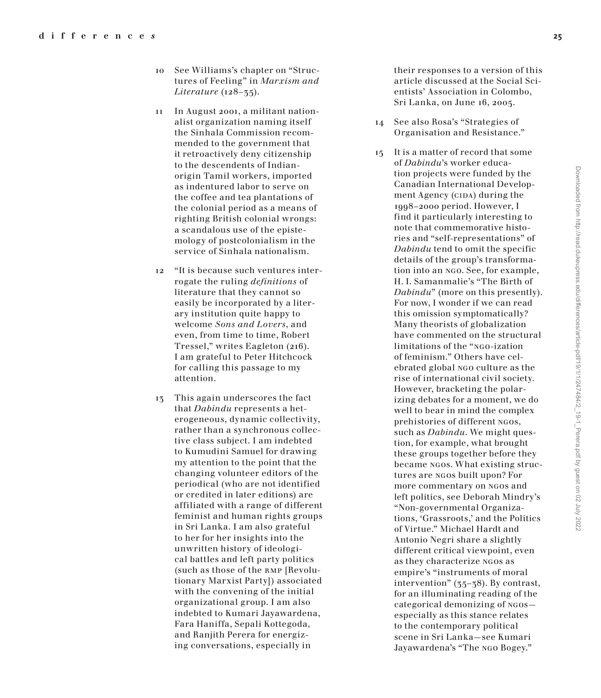- 10 See Williams's chapter on "Structures of Feeling" in *Marxism and Literature* (128–35).
- 11 In August 2001, a militant nationalist organization naming itself the Sinhala Commission recommended to the government that it retroactively deny citizenship to the descendents of Indianorigin Tamil workers, imported as indentured labor to serve on the coffee and tea plantations of the colonial period as a means of righting British colonial wrongs: a scandalous use of the epistemology of postcolonialism in the service of Sinhala nationalism.
- 12 "It is because such ventures interrogate the ruling *definitions* of literature that they cannot so easily be incorporated by a literary institution quite happy to welcome *Sons and Lovers*, and even, from time to time, Robert Tressel," writes Eagleton (216). I am grateful to Peter Hitchcock for calling this passage to my attention.
- 13 This again underscores the fact that *Dabindu* represents a heterogeneous, dynamic collectivity, rather than a synchronous collective class subject. I am indebted to Kumudini Samuel for drawing my attention to the point that the changing volunteer editors of the periodical (who are not identified or credited in later editions) are affiliated with a range of different feminist and human rights groups in Sri Lanka. I am also grateful to her for her insights into the unwritten history of ideological battles and left party politics (such as those of the rmp [Revolutionary Marxist Party]) associated with the convening of the initial organizational group. I am also indebted to Kumari Jayawardena, Fara Haniffa, Sepali Kottegoda, and Ranjith Perera for energizing conversations, especially in

their responses to a version of this article discussed at the Social Scientists' Association in Colombo, Sri Lanka, on June 16, 2005.

- 14 See also Rosa's "Strategies of Organisation and Resistance."
- 15 It is a matter of record that some of *Dabindu*'s worker education projects were funded by the Canadian International Development Agency (CIDA) during the 1998–2000 period. However, I find it particularly interesting to note that commemorative histories and "self-representations" of *Dabindu* tend to omit the specific details of the group's transformation into an ngo. See, for example, H. I. Samanmalie's "The Birth of *Dabindu*" (more on this presently). For now, I wonder if we can read this omission symptomatically? Many theorists of globalization have commented on the structural limitations of the "ngo-ization of feminism." Others have celebrated global ngo culture as the rise of international civil society. However, bracketing the polarizing debates for a moment, we do well to bear in mind the complex prehistories of different ngos, such as *Dabindu*. We might question, for example, what brought these groups together before they became ngos. What existing structures are ngos built upon? For more commentary on ngos and left politics, see Deborah Mindry's "Non-governmental Organizations, 'Grassroots,' and the Politics of Virtue." Michael Hardt and Antonio Negri share a slightly different critical viewpoint, even as they characterize ngos as empire's "instruments of moral intervention" (35–38). By contrast, for an illuminating reading of the categorical demonizing of ngos especially as this stance relates to the contemporary political scene in Sri Lanka—see Kumari Jayawardena's "The ngo Bogey."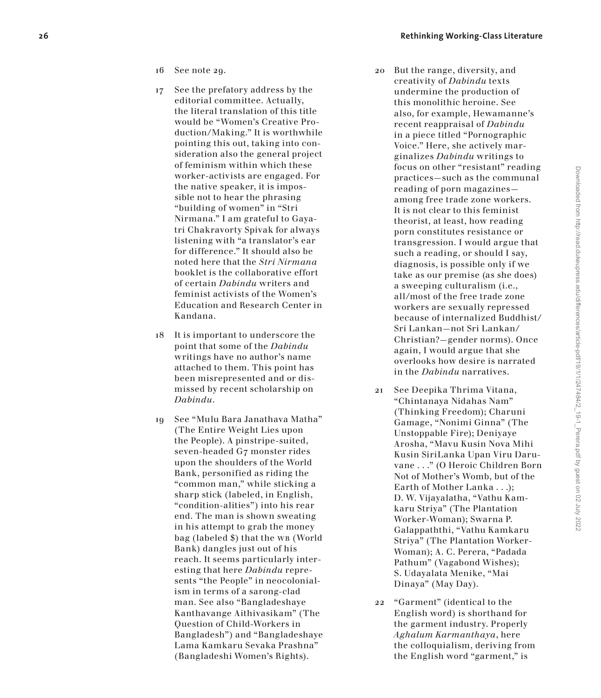- **26 Rethinking Working-Class Literature**
	- 16 See note 29.
	- 17 See the prefatory address by the editorial committee. Actually, the literal translation of this title would be "Women's Creative Pro duction/Making." It is worthwhile pointing this out, taking into con sideration also the general project of feminism within which these worker-activists are engaged. For the native speaker, it is impos sible not to hear the phrasing "building of women" in "Stri Nirmana." I am grateful to Gaya tri Chakravorty Spivak for always listening with "a translator's ear for difference." It should also be noted here that the *Stri Nirmana* booklet is the collaborative effort of certain *Dabindu* writers and feminist activists of the Women's Education and Research Center in Kandana.
	- 18 It is important to underscore the point that some of the *Dabindu* writings have no author's name attached to them. This point has been misrepresented and or dis missed by recent scholarship on *Dabindu* .
	- 19 See "Mulu Bara Janathava Matha" (The Entire Weight Lies upon the People). A pinstripe-suited, seven-headed G7 monster rides upon the shoulders of the World Bank, personified as riding the "common man," while sticking a sharp stick (labeled, in English, "condition-alities") into his rear end. The man is shown sweating in his attempt to grab the money bag (labeled \$) that the wb (World Bank) dangles just out of his reach. It seems particularly inter esting that here *Dabindu* repre sents "the People" in neocolonial ism in terms of a sarong-clad man. See also "Bangladeshaye Kanthavange Aithivasikam" (The Question of Child-Workers in Bangladesh") and "Bangladeshaye Lama Kamkaru Sevaka Prashna" (Bangladeshi Women's Rights).
- 20 But the range, diversity, and creativity of *Dabindu* texts undermine the production of this monolithic heroine. See also, for example, Hewamanne's recent reappraisal of *Dabindu* in a piece titled "Pornographic Voice." Here, she actively mar ginalizes *Dabindu* writings to focus on other "resistant" reading practices—such as the communal reading of porn magazines among free trade zone workers. It is not clear to this feminist theorist, at least, how reading porn constitutes resistance or transgression. I would argue that such a reading, or should I say, diagnosis, is possible only if we take as our premise (as she does) a sweeping culturalism (i.e., all/most of the free trade zone workers are sexually repressed because of internalized Buddhist/ Sri Lankan—not Sri Lankan/ Christian?—gender norms). Once again, I would argue that she overlooks how desire is narrated in the *Dabindu* narratives.
- 21 See Deepika Thrima Vitana, "Chintanaya Nidahas Nam" (Thinking Freedom); Charuni Gamage, "Nonimi Ginna" (The Unstoppable Fire); Deniyaye Arosha, "Mavu Kusin Nova Mihi Kusin SiriLanka Upan Viru Daru vane . . ." (O Heroic Children Born Not of Mother's Womb, but of the Earth of Mother Lanka . . .); D. W. Vijayalatha, "Vathu Kam karu Striya" (The Plantation Worker-Woman); Swarna P. Galappaththi, "Vathu Kamkaru Striya" (The Plantation Worker-Woman); A. C. Perera, "Padada Pathum" (Vagabond Wishes); S. Udayalata Menike, "Mai Dinaya" (May Day).
- 22 "Garment" (identical to the English word) is shorthand for the garment industry. Properly *Aghalum Karmanthaya*, here the colloquialism, deriving from the English word "garment," is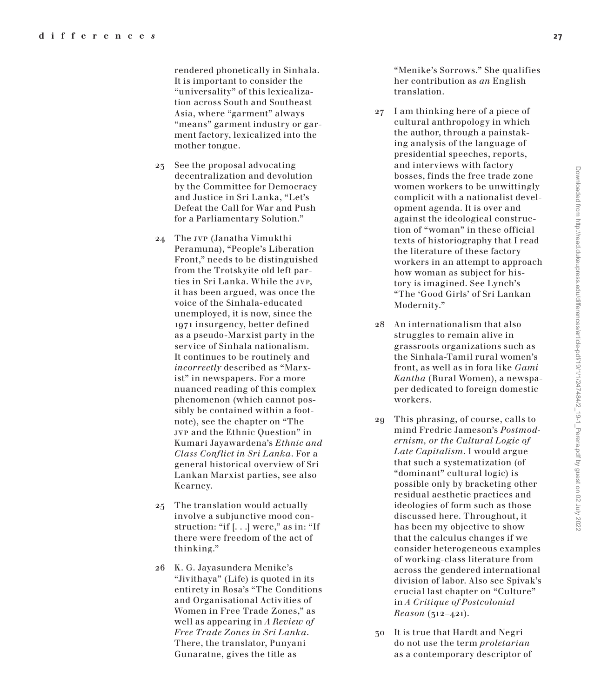rendered phonetically in Sinhala. It is important to consider the "universality" of this lexicalization across South and Southeast Asia, where "garment" always "means" garment industry or garment factory, lexicalized into the mother tongue.

- 23 See the proposal advocating decentralization and devolution by the Committee for Democracy and Justice in Sri Lanka, "Let's Defeat the Call for War and Push for a Parliamentary Solution."
- 24 The jvp (Janatha Vimukthi Peramuna), "People's Liberation Front," needs to be distinguished from the Trotskyite old left parties in Sri Lanka. While the jvp, it has been argued, was once the voice of the Sinhala-educated unemployed, it is now, since the 1971 insurgency, better defined as a pseudo-Marxist party in the service of Sinhala nationalism. It continues to be routinely and *incorrectly* described as "Marxist" in newspapers. For a more nuanced reading of this complex phenomenon (which cannot possibly be contained within a footnote), see the chapter on "The jvp and the Ethnic Question" in Kumari Jayawardena's *Ethnic and Class Conflict in Sri Lanka*. For a general historical overview of Sri Lankan Marxist parties, see also Kearney.
- 25 The translation would actually involve a subjunctive mood construction: "if [. . .] were," as in: "If there were freedom of the act of thinking."
- 26 K. G. Jayasundera Menike's "Jivithaya" (Life) is quoted in its entirety in Rosa's "The Conditions and Organisational Activities of Women in Free Trade Zones," as well as appearing in *A Review of Free Trade Zones in Sri Lanka*. There, the translator, Punyani Gunaratne, gives the title as

"Menike's Sorrows." She qualifies her contribution as *an* English translation.

- 27 I am thinking here of a piece of cultural anthropology in which the author, through a painstaking analysis of the language of presidential speeches, reports, and interviews with factory bosses, finds the free trade zone women workers to be unwittingly complicit with a nationalist development agenda. It is over and against the ideological construction of "woman" in these official texts of historiography that I read the literature of these factory workers in an attempt to approach how woman as subject for history is imagined. See Lynch's "The 'Good Girls' of Sri Lankan Modernity."
- 28 An internationalism that also struggles to remain alive in grassroots organizations such as the Sinhala-Tamil rural women's front, as well as in fora like *Gami Kantha* (Rural Women), a newspaper dedicated to foreign domestic workers.
- 29 This phrasing, of course, calls to mind Fredric Jameson's *Postmodernism, or the Cultural Logic of Late Capitalism*. I would argue that such a systematization (of "dominant" cultural logic) is possible only by bracketing other residual aesthetic practices and ideologies of form such as those discussed here. Throughout, it has been my objective to show that the calculus changes if we consider heterogeneous examples of working-class literature from across the gendered international division of labor. Also see Spivak's crucial last chapter on "Culture" in *A Critique of Postcolonial Reason* (312–421).
- 30 It is true that Hardt and Negri do not use the term *proletarian* as a contemporary descriptor of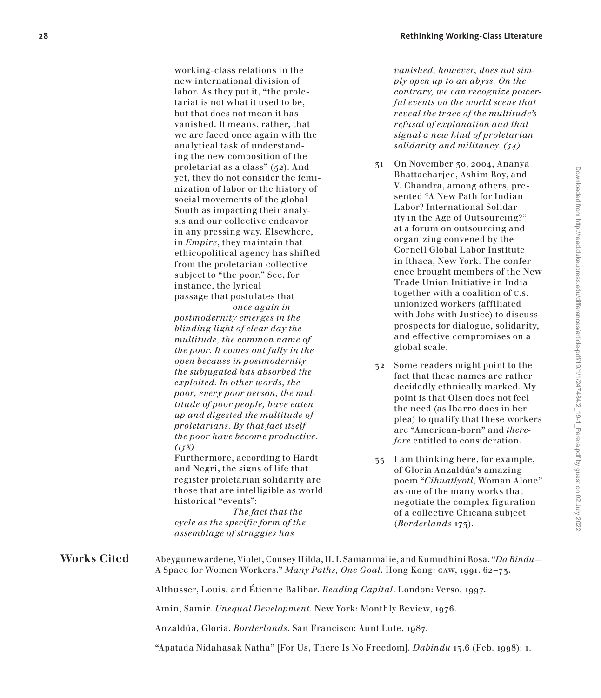*vanished, however, does not simply open up to an abyss. On the contrary, we can recognize powerful events on the world scene that reveal the trace of the multitude's refusal of explanation and that signal a new kind of proletarian solidarity and militancy. (54)*

- 31 On November 30, 2004, Ananya Bhattacharjee, Ashim Roy, and V. Chandra, among others, presented "A New Path for Indian Labor? International Solidarity in the Age of Outsourcing?" at a forum on outsourcing and organizing convened by the Cornell Global Labor Institute in Ithaca, New York. The conference brought members of the New Trade Union Initiative in India together with a coalition of u.s. unionized workers (affiliated with Jobs with Justice) to discuss prospects for dialogue, solidarity, and effective compromises on a global scale.
- 32 Some readers might point to the fact that these names are rather decidedly ethnically marked. My point is that Olsen does not feel the need (as Ibarro does in her plea) to qualify that these workers are "American-born" and *therefore* entitled to consideration.
- 33 I am thinking here, for example, of Gloria Anzaldúa's amazing poem "*Cihuatlyotl*, Woman Alone" as one of the many works that negotiate the complex figuration of a collective Chicana subject (*Borderlands* 173).

| <b>Works Cited</b> | Abeygunewardene, Violet, Consey Hilda, H. I. Samanmalie, and Kumudhini Rosa. "Da Bindu- |
|--------------------|-----------------------------------------------------------------------------------------|
|                    | A Space for Women Workers." Many Paths, One Goal. Hong Kong: CAW, 1991. 62–73.          |
|                    | Althusser, Louis, and Étienne Balibar. Reading Capital. London: Verso, 1997.            |
|                    | Amin, Samir. Unequal Development. New York: Monthly Review, 1976.                       |
|                    | Anzaldúa, Gloria. Borderlands. San Francisco: Aunt Lute, 1987.                          |
|                    | "Apatada Nidahasak Natha" [For Us, There Is No Freedom]. Dabindu 13.6 (Feb. 1998): 1.   |

working-class relations in the new international division of labor. As they put it, "the proletariat is not what it used to be, but that does not mean it has vanished. It means, rather, that we are faced once again with the analytical task of understanding the new composition of the proletariat as a class" (52). And yet, they do not consider the feminization of labor or the history of social movements of the global South as impacting their analysis and our collective endeavor in any pressing way. Elsewhere, in *Empire*, they maintain that ethicopolitical agency has shifted from the proletarian collective subject to "the poor." See, for

instance, the lyrical passage that postulates that

*(158)*

 *once again in* 

*postmodernity emerges in the blinding light of clear day the multitude, the common name of the poor. It comes out fully in the open because in postmodernity the subjugated has absorbed the exploited. In other words, the poor, every poor person, the multitude of poor people, have eaten up and digested the multitude of proletarians. By that fact itself the poor have become productive.* 

Furthermore, according to Hardt and Negri, the signs of life that register proletarian solidarity are those that are intelligible as world

*cycle as the specific form of the assemblage of struggles has* 

*The fact that the* 

historical "events":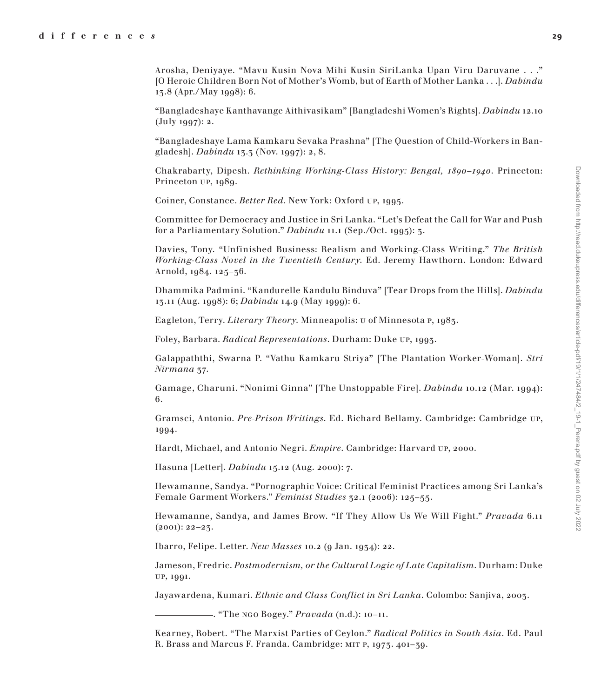Arosha, Deniyaye. "Mavu Kusin Nova Mihi Kusin SiriLanka Upan Viru Daruvane . . ." [O Heroic Children Born Not of Mother's Womb, but of Earth of Mother Lanka . . .]. *Dabindu* 13.8 (Apr./May 1998): 6.

"Bangladeshaye Kanthavange Aithivasikam" [Bangladeshi Women's Rights]. *Dabindu* 12.10 (July 1997): 2.

"Bangladeshaye Lama Kamkaru Sevaka Prashna" [The Question of Child-Workers in Bangladesh]. *Dabindu* 13.3 (Nov. 1997): 2, 8.

Chakrabarty, Dipesh. *Rethinking Working-Class History: Bengal, 1890–1940*. Princeton: Princeton UP, 1989.

Coiner, Constance. *Better Red*. New York: Oxford up, 1995.

Committee for Democracy and Justice in Sri Lanka. "Let's Defeat the Call for War and Push for a Parliamentary Solution." *Dabindu* 11.1 (Sep./Oct. 1995): 3.

Davies, Tony. "Unfinished Business: Realism and Working-Class Writing." *The British Working-Class Novel in the Twentieth Century*. Ed. Jeremy Hawthorn. London: Edward Arnold, 1984. 125–36.

Dhammika Padmini. "Kandurelle Kandulu Binduva" [Tear Drops from the Hills]. *Dabindu* 13.11 (Aug. 1998): 6; *Dabindu* 14.9 (May 1999): 6.

Eagleton, Terry. *Literary Theory*. Minneapolis: u of Minnesota p, 1983.

Foley, Barbara. *Radical Representations*. Durham: Duke up, 1993.

Galappaththi, Swarna P. "Vathu Kamkaru Striya" [The Plantation Worker-Woman]. *Stri Nirmana* 37.

Gamage, Charuni. "Nonimi Ginna" [The Unstoppable Fire]. *Dabindu* 10.12 (Mar. 1994): 6.

Gramsci, Antonio. *Pre-Prison Writings*. Ed. Richard Bellamy. Cambridge: Cambridge up, 1994.

Hardt, Michael, and Antonio Negri. *Empire*. Cambridge: Harvard up, 2000.

Hasuna [Letter]. *Dabindu* 15.12 (Aug. 2000): 7.

Hewamanne, Sandya. "Pornographic Voice: Critical Feminist Practices among Sri Lanka's Female Garment Workers." *Feminist Studies* 32.1 (2006): 125–55.

Hewamanne, Sandya, and James Brow. "If They Allow Us We Will Fight." *Pravada* 6.11  $(2001): 22-23.$ 

Ibarro, Felipe. Letter. *New Masses* 10.2 (9 Jan. 1934): 22.

Jameson, Fredric. *Postmodernism, or the Cultural Logic of Late Capitalism*. Durham: Duke up, 1991.

Jayawardena, Kumari. *Ethnic and Class Conflict in Sri Lanka*. Colombo: Sanjiva, 2003.

. "The ngo Bogey." *Pravada* (n.d.): 10–11.

Kearney, Robert. "The Marxist Parties of Ceylon." *Radical Politics in South Asia*. Ed. Paul R. Brass and Marcus F. Franda. Cambridge: mit p, 1973. 401–39.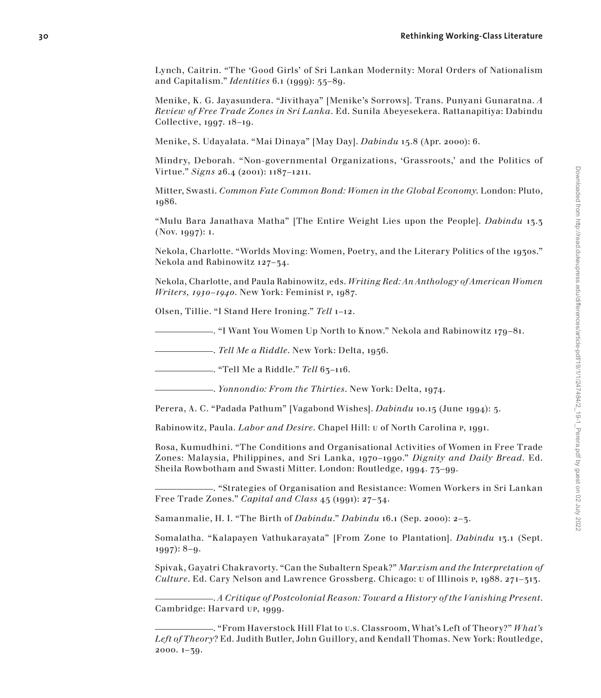Lynch, Caitrin. "The 'Good Girls' of Sri Lankan Modernity: Moral Orders of Nationalism and Capitalism." *Identities* 6.1 (1999): 55–89.

Menike, K. G. Jayasundera. "Jivithaya" [Menike's Sorrows]. Trans. Punyani Gunaratna. *A Review of Free Trade Zones in Sri Lanka*. Ed. Sunila Abeyesekera. Rattanapitiya: Dabindu Collective, 1997. 18–19.

Menike, S. Udayalata. "Mai Dinaya" [May Day]. *Dabindu* 15.8 (Apr. 2000): 6.

Mindry, Deborah. "Non-governmental Organizations, 'Grassroots,' and the Politics of Virtue." *Signs* 26.4 (2001): 1187–1211.

Mitter, Swasti. *Common Fate Common Bond: Women in the Global Economy*. London: Pluto, 1986.

"Mulu Bara Janathava Matha" [The Entire Weight Lies upon the People]. *Dabindu* 13.3 (Nov. 1997): 1.

Nekola, Charlotte. "Worlds Moving: Women, Poetry, and the Literary Politics of the 1930s." Nekola and Rabinowitz 127–34.

Nekola, Charlotte, and Paula Rabinowitz, eds. *Writing Red: An Anthology of American Women Writers, 1930–1940*. New York: Feminist p, 1987.

Olsen, Tillie. "I Stand Here Ironing." *Tell* 1–12.

. "I Want You Women Up North to Know." Nekola and Rabinowitz 179–81.

. *Tell Me a Riddle*. New York: Delta, 1956.

. "Tell Me a Riddle." *Tell* 63–116.

. *Yonnondio: From the Thirties*. New York: Delta, 1974.

Perera, A. C. "Padada Pathum" [Vagabond Wishes]. *Dabindu* 10.15 (June 1994): 5.

Rabinowitz, Paula. *Labor and Desire*. Chapel Hill: **u** of North Carolina P, 1991.

Rosa, Kumudhini. "The Conditions and Organisational Activities of Women in Free Trade Zones: Malaysia, Philippines, and Sri Lanka, 1970–1990." *Dignity and Daily Bread*. Ed. Sheila Rowbotham and Swasti Mitter. London: Routledge, 1994. 73–99.

. "Strategies of Organisation and Resistance: Women Workers in Sri Lankan Free Trade Zones." *Capital and Class* 45 (1991): 27–34.

Samanmalie, H. I. "The Birth of *Dabindu*." *Dabindu* 16.1 (Sep. 2000): 2–3.

Somalatha. "Kalapayen Vathukarayata" [From Zone to Plantation]. *Dabindu* 13.1 (Sept. 1997): 8–9.

Spivak, Gayatri Chakravorty. "Can the Subaltern Speak?" *Marxism and the Interpretation of Culture*. Ed. Cary Nelson and Lawrence Grossberg. Chicago:  $\sigma$  of Illinois P, 1988. 271–313.

. *A Critique of Postcolonial Reason: Toward a History of the Vanishing Present*. Cambridge: Harvard up, 1999.

. "From Haverstock Hill Flat to u.s. Classroom, What's Left of Theory?" *What's Left of Theory*? Ed. Judith Butler, John Guillory, and Kendall Thomas. New York: Routledge, 2000. 1–39.